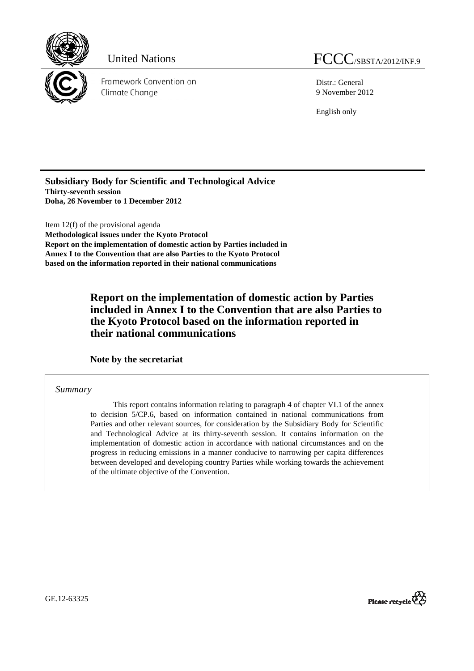

Framework Convention on Climate Change

Distr.: General 9 November 2012

English only

**Subsidiary Body for Scientific and Technological Advice Thirty-seventh session Doha, 26 November to 1 December 2012** 

Item 12(f) of the provisional agenda **Methodological issues under the Kyoto Protocol Report on the implementation of domestic action by Parties included in Annex I to the Convention that are also Parties to the Kyoto Protocol based on the information reported in their national communications** 

> **Report on the implementation of domestic action by Parties included in Annex I to the Convention that are also Parties to the Kyoto Protocol based on the information reported in their national communications**

 **Note by the secretariat** 

*Summary* 

This report contains information relating to paragraph 4 of chapter VI.1 of the annex to decision 5/CP.6, based on information contained in national communications from Parties and other relevant sources, for consideration by the Subsidiary Body for Scientific and Technological Advice at its thirty-seventh session. It contains information on the implementation of domestic action in accordance with national circumstances and on the progress in reducing emissions in a manner conducive to narrowing per capita differences between developed and developing country Parties while working towards the achievement of the ultimate objective of the Convention.

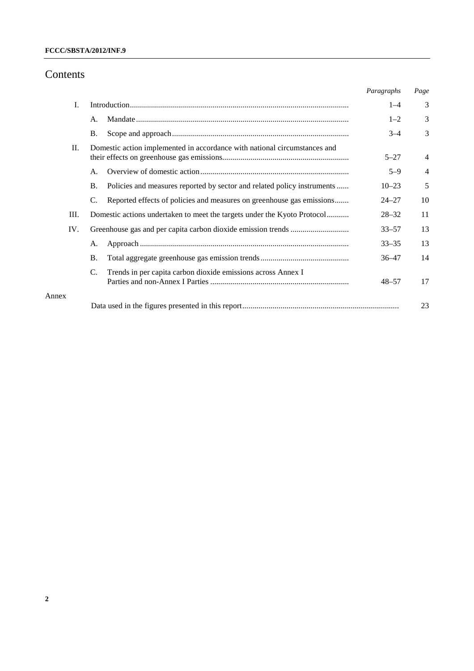# **FCCC/SBSTA/2012/INF.9**

# Contents

Annex

|       |           |                                                                           | Paragraphs | Page           |
|-------|-----------|---------------------------------------------------------------------------|------------|----------------|
| I.    |           |                                                                           | $1 - 4$    | 3              |
|       | A.        |                                                                           | $1 - 2$    | 3              |
|       | <b>B.</b> |                                                                           | $3 - 4$    | 3              |
| П.    |           | Domestic action implemented in accordance with national circumstances and | $5 - 27$   | $\overline{4}$ |
|       | A.        |                                                                           | $5 - 9$    | $\overline{4}$ |
|       | <b>B.</b> | Policies and measures reported by sector and related policy instruments   | $10 - 23$  | 5              |
|       | C.        | Reported effects of policies and measures on greenhouse gas emissions     | $24 - 27$  | 10             |
| Ш.    |           | Domestic actions undertaken to meet the targets under the Kyoto Protocol  | $28 - 32$  | 11             |
| IV.   |           |                                                                           | $33 - 57$  | 13             |
|       | А.        |                                                                           | $33 - 35$  | 13             |
|       | <b>B.</b> |                                                                           | $36 - 47$  | 14             |
|       | C.        | Trends in per capita carbon dioxide emissions across Annex I              | $48 - 57$  | 17             |
| Annex |           |                                                                           |            |                |
|       |           |                                                                           |            | 23             |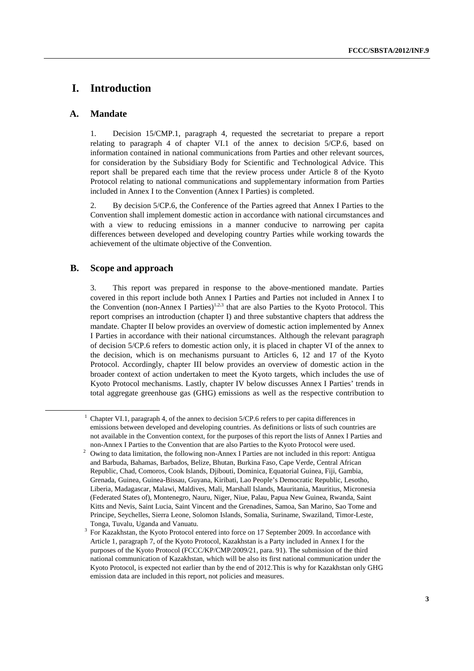# **I. Introduction**

# **A. Mandate**

1. Decision 15/CMP.1, paragraph 4, requested the secretariat to prepare a report relating to paragraph 4 of chapter VI.1 of the annex to decision 5/CP.6, based on information contained in national communications from Parties and other relevant sources, for consideration by the Subsidiary Body for Scientific and Technological Advice. This report shall be prepared each time that the review process under Article 8 of the Kyoto Protocol relating to national communications and supplementary information from Parties included in Annex I to the Convention (Annex I Parties) is completed.

2. By decision 5/CP.6, the Conference of the Parties agreed that Annex I Parties to the Convention shall implement domestic action in accordance with national circumstances and with a view to reducing emissions in a manner conducive to narrowing per capita differences between developed and developing country Parties while working towards the achievement of the ultimate objective of the Convention.

# **B. Scope and approach**

3. This report was prepared in response to the above-mentioned mandate. Parties covered in this report include both Annex I Parties and Parties not included in Annex I to the Convention (non-Annex I Parties)<sup>1,2,3</sup> that are also Parties to the Kyoto Protocol. This report comprises an introduction (chapter I) and three substantive chapters that address the mandate. Chapter II below provides an overview of domestic action implemented by Annex I Parties in accordance with their national circumstances. Although the relevant paragraph of decision 5/CP.6 refers to domestic action only, it is placed in chapter VI of the annex to the decision, which is on mechanisms pursuant to Articles 6, 12 and 17 of the Kyoto Protocol. Accordingly, chapter III below provides an overview of domestic action in the broader context of action undertaken to meet the Kyoto targets, which includes the use of Kyoto Protocol mechanisms. Lastly, chapter IV below discusses Annex I Parties' trends in total aggregate greenhouse gas (GHG) emissions as well as the respective contribution to

<sup>&</sup>lt;u>1</u>  $^1$  Chapter VI.1, paragraph 4, of the annex to decision 5/CP.6 refers to per capita differences in emissions between developed and developing countries. As definitions or lists of such countries are not available in the Convention context, for the purposes of this report the lists of Annex I Parties and non-Annex I Parties to the Convention that are also Parties to the Kyoto Protocol were used. 2

<sup>&</sup>lt;sup>2</sup> Owing to data limitation, the following non-Annex I Parties are not included in this report: Antigua and Barbuda, Bahamas, Barbados, Belize, Bhutan, Burkina Faso, Cape Verde, Central African Republic, Chad, Comoros, Cook Islands, Djibouti, Dominica, Equatorial Guinea, Fiji, Gambia, Grenada, Guinea, Guinea-Bissau, Guyana, Kiribati, Lao People's Democratic Republic, Lesotho, Liberia, Madagascar, Malawi, Maldives, Mali, Marshall Islands, Mauritania, Mauritius, Micronesia (Federated States of), Montenegro, Nauru, Niger, Niue, Palau, Papua New Guinea, Rwanda, Saint Kitts and Nevis, Saint Lucia, Saint Vincent and the Grenadines, Samoa, San Marino, Sao Tome and Principe, Seychelles, Sierra Leone, Solomon Islands, Somalia, Suriname, Swaziland, Timor-Leste, Tonga, Tuvalu, Uganda and Vanuatu.

<sup>3</sup> For Kazakhstan, the Kyoto Protocol entered into force on 17 September 2009. In accordance with Article 1, paragraph 7, of the Kyoto Protocol, Kazakhstan is a Party included in Annex I for the purposes of the Kyoto Protocol (FCCC/KP/CMP/2009/21, para. 91). The submission of the third national communication of Kazakhstan, which will be also its first national communication under the Kyoto Protocol, is expected not earlier than by the end of 2012.This is why for Kazakhstan only GHG emission data are included in this report, not policies and measures.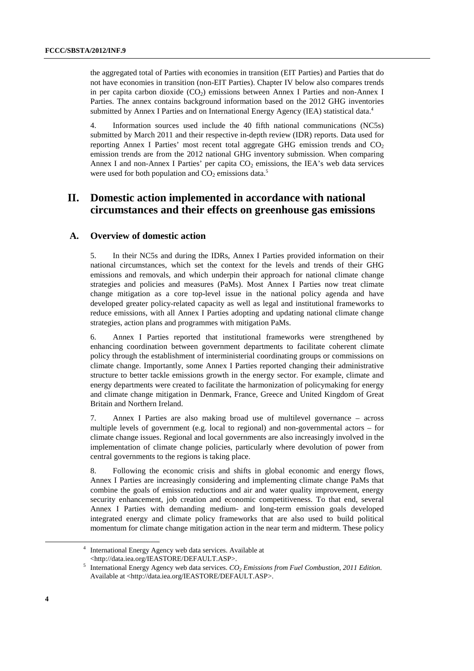the aggregated total of Parties with economies in transition (EIT Parties) and Parties that do not have economies in transition (non-EIT Parties). Chapter IV below also compares trends in per capita carbon dioxide  $(CO<sub>2</sub>)$  emissions between Annex I Parties and non-Annex I Parties. The annex contains background information based on the 2012 GHG inventories submitted by Annex I Parties and on International Energy Agency (IEA) statistical data.<sup>4</sup>

4. Information sources used include the 40 fifth national communications (NC5s) submitted by March 2011 and their respective in-depth review (IDR) reports. Data used for reporting Annex I Parties' most recent total aggregate GHG emission trends and  $CO<sub>2</sub>$ emission trends are from the 2012 national GHG inventory submission. When comparing Annex I and non-Annex I Parties' per capita  $CO<sub>2</sub>$  emissions, the IEA's web data services were used for both population and  $CO<sub>2</sub>$  emissions data.<sup>5</sup>

# **II. Domestic action implemented in accordance with national circumstances and their effects on greenhouse gas emissions**

# **A. Overview of domestic action**

5. In their NC5s and during the IDRs, Annex I Parties provided information on their national circumstances, which set the context for the levels and trends of their GHG emissions and removals, and which underpin their approach for national climate change strategies and policies and measures (PaMs). Most Annex I Parties now treat climate change mitigation as a core top-level issue in the national policy agenda and have developed greater policy-related capacity as well as legal and institutional frameworks to reduce emissions, with all Annex I Parties adopting and updating national climate change strategies, action plans and programmes with mitigation PaMs.

6. Annex I Parties reported that institutional frameworks were strengthened by enhancing coordination between government departments to facilitate coherent climate policy through the establishment of interministerial coordinating groups or commissions on climate change. Importantly, some Annex I Parties reported changing their administrative structure to better tackle emissions growth in the energy sector. For example, climate and energy departments were created to facilitate the harmonization of policymaking for energy and climate change mitigation in Denmark, France, Greece and United Kingdom of Great Britain and Northern Ireland.

7. Annex I Parties are also making broad use of multilevel governance – across multiple levels of government (e.g. local to regional) and non-governmental actors – for climate change issues. Regional and local governments are also increasingly involved in the implementation of climate change policies, particularly where devolution of power from central governments to the regions is taking place.

8. Following the economic crisis and shifts in global economic and energy flows, Annex I Parties are increasingly considering and implementing climate change PaMs that combine the goals of emission reductions and air and water quality improvement, energy security enhancement, job creation and economic competitiveness. To that end, several Annex I Parties with demanding medium- and long-term emission goals developed integrated energy and climate policy frameworks that are also used to build political momentum for climate change mitigation action in the near term and midterm. These policy

 <sup>4</sup> International Energy Agency web data services. Available at <http://data.iea.org/IEASTORE/DEFAULT.ASP>.

<sup>&</sup>lt;sup>5</sup> International Energy Agency web data services.  $CO_2$  Emissions from Fuel Combustion, 2011 Edition. Available at <http://data.iea.org/IEASTORE/DEFAULT.ASP>.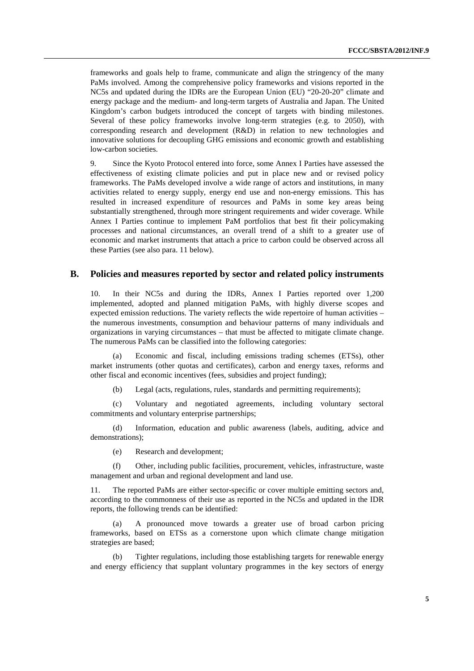frameworks and goals help to frame, communicate and align the stringency of the many PaMs involved. Among the comprehensive policy frameworks and visions reported in the NC5s and updated during the IDRs are the European Union (EU) "20-20-20" climate and energy package and the medium- and long-term targets of Australia and Japan. The United Kingdom's carbon budgets introduced the concept of targets with binding milestones. Several of these policy frameworks involve long-term strategies (e.g. to 2050), with corresponding research and development (R&D) in relation to new technologies and innovative solutions for decoupling GHG emissions and economic growth and establishing low-carbon societies.

9. Since the Kyoto Protocol entered into force, some Annex I Parties have assessed the effectiveness of existing climate policies and put in place new and or revised policy frameworks. The PaMs developed involve a wide range of actors and institutions, in many activities related to energy supply, energy end use and non-energy emissions. This has resulted in increased expenditure of resources and PaMs in some key areas being substantially strengthened, through more stringent requirements and wider coverage. While Annex I Parties continue to implement PaM portfolios that best fit their policymaking processes and national circumstances, an overall trend of a shift to a greater use of economic and market instruments that attach a price to carbon could be observed across all these Parties (see also para. 11 below).

### **B. Policies and measures reported by sector and related policy instruments**

10. In their NC5s and during the IDRs, Annex I Parties reported over 1,200 implemented, adopted and planned mitigation PaMs, with highly diverse scopes and expected emission reductions. The variety reflects the wide repertoire of human activities – the numerous investments, consumption and behaviour patterns of many individuals and organizations in varying circumstances – that must be affected to mitigate climate change. The numerous PaMs can be classified into the following categories:

Economic and fiscal, including emissions trading schemes (ETSs), other market instruments (other quotas and certificates), carbon and energy taxes, reforms and other fiscal and economic incentives (fees, subsidies and project funding);

(b) Legal (acts, regulations, rules, standards and permitting requirements);

(c) Voluntary and negotiated agreements, including voluntary sectoral commitments and voluntary enterprise partnerships;

(d) Information, education and public awareness (labels, auditing, advice and demonstrations);

(e) Research and development;

(f) Other, including public facilities, procurement, vehicles, infrastructure, waste management and urban and regional development and land use.

11. The reported PaMs are either sector-specific or cover multiple emitting sectors and, according to the commonness of their use as reported in the NC5s and updated in the IDR reports, the following trends can be identified:

(a) A pronounced move towards a greater use of broad carbon pricing frameworks, based on ETSs as a cornerstone upon which climate change mitigation strategies are based;

(b) Tighter regulations, including those establishing targets for renewable energy and energy efficiency that supplant voluntary programmes in the key sectors of energy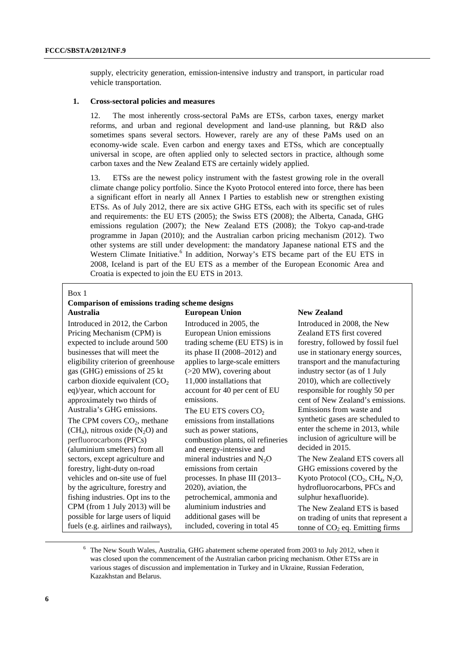supply, electricity generation, emission-intensive industry and transport, in particular road vehicle transportation.

### **1. Cross-sectoral policies and measures**

12. The most inherently cross-sectoral PaMs are ETSs, carbon taxes, energy market reforms, and urban and regional development and land-use planning, but R&D also sometimes spans several sectors. However, rarely are any of these PaMs used on an economy-wide scale. Even carbon and energy taxes and ETSs, which are conceptually universal in scope, are often applied only to selected sectors in practice, although some carbon taxes and the New Zealand ETS are certainly widely applied.

13. ETSs are the newest policy instrument with the fastest growing role in the overall climate change policy portfolio. Since the Kyoto Protocol entered into force, there has been a significant effort in nearly all Annex I Parties to establish new or strengthen existing ETSs. As of July 2012, there are six active GHG ETSs, each with its specific set of rules and requirements: the EU ETS (2005); the Swiss ETS (2008); the Alberta, Canada, GHG emissions regulation (2007); the New Zealand ETS (2008); the Tokyo cap-and-trade programme in Japan (2010); and the Australian carbon pricing mechanism (2012). Two other systems are still under development: the mandatory Japanese national ETS and the Western Climate Initiative.<sup>6</sup> In addition, Norway's ETS became part of the EU ETS in 2008, Iceland is part of the EU ETS as a member of the European Economic Area and Croatia is expected to join the EU ETS in 2013.

#### Box 1

#### **Comparison of emissions trading scheme designs Australia European Union**

Introduced in 2012, the Carbon Pricing Mechanism (CPM) is expected to include around 500 businesses that will meet the eligibility criterion of greenhouse gas (GHG) emissions of 25 kt carbon dioxide equivalent  $(CO<sub>2</sub>)$ eq)/year, which account for approximately two thirds of Australia's GHG emissions. The CPM covers  $CO<sub>2</sub>$ , methane (CH<sub>4</sub>), nitrous oxide  $(N_2O)$  and perfluorocarbons (PFCs) (aluminium smelters) from all sectors, except agriculture and forestry, light-duty on-road vehicles and on-site use of fuel by the agriculture, forestry and fishing industries. Opt ins to the CPM (from 1 July 2013) will be possible for large users of liquid fuels (e.g. airlines and railways),

Introduced in 2005, the European Union emissions trading scheme (EU ETS) is in its phase II (2008–2012) and applies to large-scale emitters (>20 MW), covering about 11,000 installations that account for 40 per cent of EU emissions.

The EU ETS covers CO<sub>2</sub> emissions from installations such as power stations, combustion plants, oil refineries and energy-intensive and mineral industries and  $N_2O$ emissions from certain processes. In phase III (2013– 2020), aviation, the petrochemical, ammonia and aluminium industries and additional gases will be included, covering in total 45

### **New Zealand**

Introduced in 2008, the New Zealand ETS first covered forestry, followed by fossil fuel use in stationary energy sources, transport and the manufacturing industry sector (as of 1 July 2010), which are collectively responsible for roughly 50 per cent of New Zealand's emissions. Emissions from waste and synthetic gases are scheduled to enter the scheme in 2013, while inclusion of agriculture will be decided in 2015.

The New Zealand ETS covers all GHG emissions covered by the Kyoto Protocol  $(CO<sub>2</sub>, CH<sub>4</sub>, N<sub>2</sub>O,$ hydrofluorocarbons, PFCs and sulphur hexafluoride).

The New Zealand ETS is based on trading of units that represent a tonne of  $CO<sub>2</sub>$  eq. Emitting firms

 <sup>6</sup>  $6$  The New South Wales, Australia, GHG abatement scheme operated from 2003 to July 2012, when it was closed upon the commencement of the Australian carbon pricing mechanism. Other ETSs are in various stages of discussion and implementation in Turkey and in Ukraine, Russian Federation, Kazakhstan and Belarus.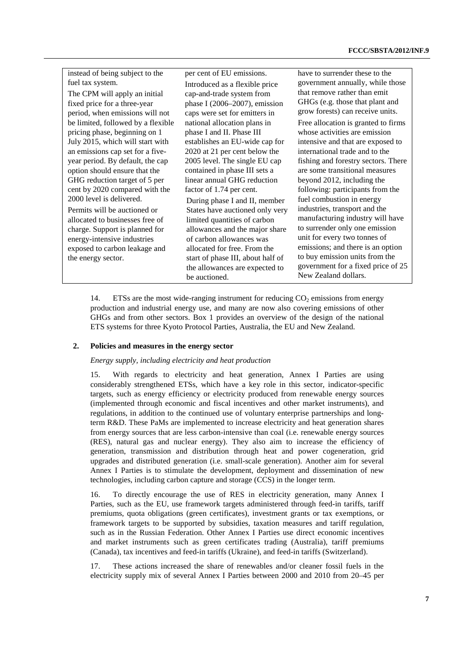| instead of being subject to the    | per cent of EU emissions.         | have to surrender these to the      |
|------------------------------------|-----------------------------------|-------------------------------------|
| fuel tax system.                   | Introduced as a flexible price.   | government annually, while those    |
| The CPM will apply an initial      | cap-and-trade system from         | that remove rather than emit        |
| fixed price for a three-year       | phase I (2006–2007), emission     | GHGs (e.g. those that plant and     |
| period, when emissions will not    | caps were set for emitters in     | grow forests) can receive units.    |
| be limited, followed by a flexible | national allocation plans in      | Free allocation is granted to firms |
| pricing phase, beginning on 1      | phase I and II. Phase III         | whose activities are emission       |
| July 2015, which will start with   | establishes an EU-wide cap for    | intensive and that are exposed to   |
| an emissions cap set for a five-   | 2020 at 21 per cent below the     | international trade and to the      |
| year period. By default, the cap   | 2005 level. The single EU cap     | fishing and forestry sectors. There |
| option should ensure that the      | contained in phase III sets a     | are some transitional measures      |
| GHG reduction target of 5 per      | linear annual GHG reduction       | beyond 2012, including the          |
| cent by 2020 compared with the     | factor of 1.74 per cent.          | following: participants from the    |
| 2000 level is delivered.           | During phase I and II, member     | fuel combustion in energy           |
| Permits will be auctioned or       | States have auctioned only very   | industries, transport and the       |
| allocated to businesses free of    | limited quantities of carbon      | manufacturing industry will have    |
| charge. Support is planned for     | allowances and the major share    | to surrender only one emission      |
| energy-intensive industries        | of carbon allowances was          | unit for every two tonnes of        |
| exposed to carbon leakage and      | allocated for free. From the      | emissions; and there is an option   |
| the energy sector.                 | start of phase III, about half of | to buy emission units from the      |
|                                    | the allowances are expected to    | government for a fixed price of 25  |
|                                    | be auctioned.                     | New Zealand dollars.                |

14. ETSs are the most wide-ranging instrument for reducing  $CO<sub>2</sub>$  emissions from energy production and industrial energy use, and many are now also covering emissions of other GHGs and from other sectors. Box 1 provides an overview of the design of the national ETS systems for three Kyoto Protocol Parties, Australia, the EU and New Zealand.

### **2. Policies and measures in the energy sector**

### *Energy supply, including electricity and heat production*

15. With regards to electricity and heat generation, Annex I Parties are using considerably strengthened ETSs, which have a key role in this sector, indicator-specific targets, such as energy efficiency or electricity produced from renewable energy sources (implemented through economic and fiscal incentives and other market instruments), and regulations, in addition to the continued use of voluntary enterprise partnerships and longterm R&D. These PaMs are implemented to increase electricity and heat generation shares from energy sources that are less carbon-intensive than coal (i.e. renewable energy sources (RES), natural gas and nuclear energy). They also aim to increase the efficiency of generation, transmission and distribution through heat and power cogeneration, grid upgrades and distributed generation (i.e. small-scale generation). Another aim for several Annex I Parties is to stimulate the development, deployment and dissemination of new technologies, including carbon capture and storage (CCS) in the longer term.

16. To directly encourage the use of RES in electricity generation, many Annex I Parties, such as the EU, use framework targets administered through feed-in tariffs, tariff premiums, quota obligations (green certificates), investment grants or tax exemptions, or framework targets to be supported by subsidies, taxation measures and tariff regulation, such as in the Russian Federation. Other Annex I Parties use direct economic incentives and market instruments such as green certificates trading (Australia), tariff premiums (Canada), tax incentives and feed-in tariffs (Ukraine), and feed-in tariffs (Switzerland).

17. These actions increased the share of renewables and/or cleaner fossil fuels in the electricity supply mix of several Annex I Parties between 2000 and 2010 from 20–45 per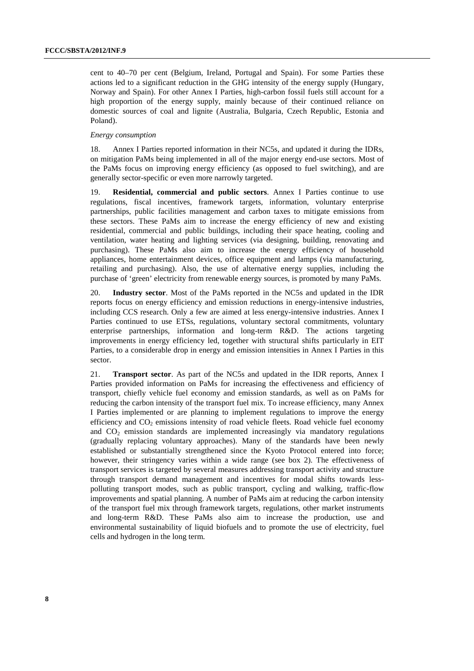cent to 40–70 per cent (Belgium, Ireland, Portugal and Spain). For some Parties these actions led to a significant reduction in the GHG intensity of the energy supply (Hungary, Norway and Spain). For other Annex I Parties, high-carbon fossil fuels still account for a high proportion of the energy supply, mainly because of their continued reliance on domestic sources of coal and lignite (Australia, Bulgaria, Czech Republic, Estonia and Poland).

### *Energy consumption*

18. Annex I Parties reported information in their NC5s, and updated it during the IDRs, on mitigation PaMs being implemented in all of the major energy end-use sectors. Most of the PaMs focus on improving energy efficiency (as opposed to fuel switching), and are generally sector-specific or even more narrowly targeted.

19. **Residential, commercial and public sectors**. Annex I Parties continue to use regulations, fiscal incentives, framework targets, information, voluntary enterprise partnerships, public facilities management and carbon taxes to mitigate emissions from these sectors. These PaMs aim to increase the energy efficiency of new and existing residential, commercial and public buildings, including their space heating, cooling and ventilation, water heating and lighting services (via designing, building, renovating and purchasing). These PaMs also aim to increase the energy efficiency of household appliances, home entertainment devices, office equipment and lamps (via manufacturing, retailing and purchasing). Also, the use of alternative energy supplies, including the purchase of 'green' electricity from renewable energy sources, is promoted by many PaMs.

20. **Industry sector**. Most of the PaMs reported in the NC5s and updated in the IDR reports focus on energy efficiency and emission reductions in energy-intensive industries, including CCS research. Only a few are aimed at less energy-intensive industries. Annex I Parties continued to use ETSs, regulations, voluntary sectoral commitments, voluntary enterprise partnerships, information and long-term R&D. The actions targeting improvements in energy efficiency led, together with structural shifts particularly in EIT Parties, to a considerable drop in energy and emission intensities in Annex I Parties in this sector.

21. **Transport sector**. As part of the NC5s and updated in the IDR reports, Annex I Parties provided information on PaMs for increasing the effectiveness and efficiency of transport, chiefly vehicle fuel economy and emission standards, as well as on PaMs for reducing the carbon intensity of the transport fuel mix. To increase efficiency, many Annex I Parties implemented or are planning to implement regulations to improve the energy efficiency and  $CO<sub>2</sub>$  emissions intensity of road vehicle fleets. Road vehicle fuel economy and  $CO<sub>2</sub>$  emission standards are implemented increasingly via mandatory regulations (gradually replacing voluntary approaches). Many of the standards have been newly established or substantially strengthened since the Kyoto Protocol entered into force; however, their stringency varies within a wide range (see box 2). The effectiveness of transport services is targeted by several measures addressing transport activity and structure through transport demand management and incentives for modal shifts towards lesspolluting transport modes, such as public transport, cycling and walking, traffic-flow improvements and spatial planning. A number of PaMs aim at reducing the carbon intensity of the transport fuel mix through framework targets, regulations, other market instruments and long-term R&D. These PaMs also aim to increase the production, use and environmental sustainability of liquid biofuels and to promote the use of electricity, fuel cells and hydrogen in the long term.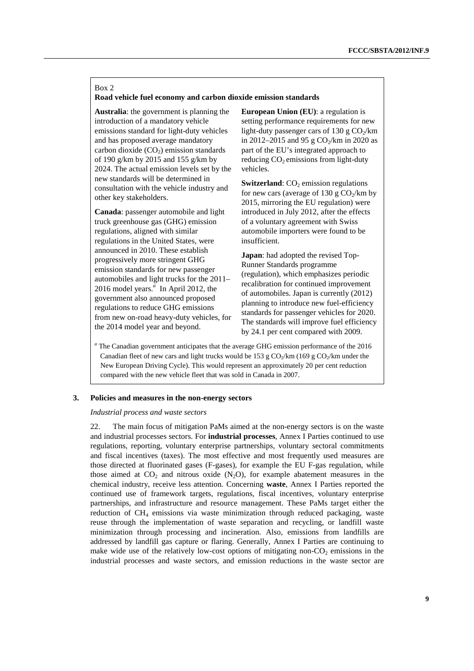### Box 2

### **Road vehicle fuel economy and carbon dioxide emission standards**

**Australia**: the government is planning the introduction of a mandatory vehicle emissions standard for light-duty vehicles and has proposed average mandatory carbon dioxide  $(CO<sub>2</sub>)$  emission standards of 190 g/km by 2015 and 155 g/km by 2024. The actual emission levels set by the new standards will be determined in consultation with the vehicle industry and other key stakeholders.

**Canada**: passenger automobile and light truck greenhouse gas (GHG) emission regulations, aligned with similar regulations in the United States, were announced in 2010. These establish progressively more stringent GHG emission standards for new passenger automobiles and light trucks for the 2011– 2016 model years.*<sup>a</sup>* In April 2012, the government also announced proposed regulations to reduce GHG emissions from new on-road heavy-duty vehicles, for the 2014 model year and beyond.

**European Union (EU)**: a regulation is setting performance requirements for new light-duty passenger cars of 130 g  $CO<sub>2</sub>/km$ in 2012–2015 and 95 g  $CO_2/km$  in 2020 as part of the EU's integrated approach to reducing  $CO<sub>2</sub>$  emissions from light-duty vehicles.

**Switzerland**: CO<sub>2</sub> emission regulations for new cars (average of 130 g  $CO<sub>2</sub>/km$  by 2015, mirroring the EU regulation) were introduced in July 2012, after the effects of a voluntary agreement with Swiss automobile importers were found to be insufficient.

**Japan**: had adopted the revised Top-Runner Standards programme (regulation), which emphasizes periodic recalibration for continued improvement of automobiles. Japan is currently (2012) planning to introduce new fuel-efficiency standards for passenger vehicles for 2020. The standards will improve fuel efficiency by 24.1 per cent compared with 2009.

*a* The Canadian government anticipates that the average GHG emission performance of the 2016 Canadian fleet of new cars and light trucks would be 153 g  $CO_2/km$  (169 g  $CO_2/km$  under the New European Driving Cycle). This would represent an approximately 20 per cent reduction compared with the new vehicle fleet that was sold in Canada in 2007.

### **3. Policies and measures in the non-energy sectors**

#### *Industrial process and waste sectors*

22. The main focus of mitigation PaMs aimed at the non-energy sectors is on the waste and industrial processes sectors. For **industrial processes**, Annex I Parties continued to use regulations, reporting, voluntary enterprise partnerships, voluntary sectoral commitments and fiscal incentives (taxes). The most effective and most frequently used measures are those directed at fluorinated gases (F-gases), for example the EU F-gas regulation, while those aimed at  $CO_2$  and nitrous oxide  $(N_2O)$ , for example abatement measures in the chemical industry, receive less attention. Concerning **waste**, Annex I Parties reported the continued use of framework targets, regulations, fiscal incentives, voluntary enterprise partnerships, and infrastructure and resource management. These PaMs target either the reduction of  $CH<sub>4</sub>$  emissions via waste minimization through reduced packaging, waste reuse through the implementation of waste separation and recycling, or landfill waste minimization through processing and incineration. Also, emissions from landfills are addressed by landfill gas capture or flaring. Generally, Annex I Parties are continuing to make wide use of the relatively low-cost options of mitigating non- $CO<sub>2</sub>$  emissions in the industrial processes and waste sectors, and emission reductions in the waste sector are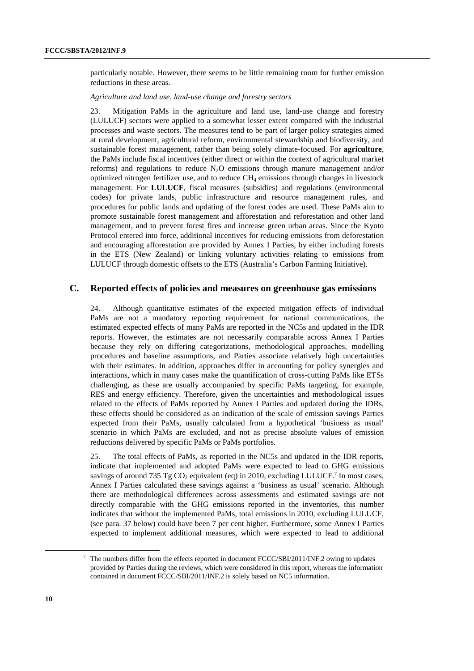particularly notable. However, there seems to be little remaining room for further emission reductions in these areas.

*Agriculture and land use, land-use change and forestry sectors* 

23. Mitigation PaMs in the agriculture and land use, land-use change and forestry (LULUCF) sectors were applied to a somewhat lesser extent compared with the industrial processes and waste sectors. The measures tend to be part of larger policy strategies aimed at rural development, agricultural reform, environmental stewardship and biodiversity, and sustainable forest management, rather than being solely climate-focused. For **agriculture**, the PaMs include fiscal incentives (either direct or within the context of agricultural market reforms) and regulations to reduce  $N_2O$  emissions through manure management and/or optimized nitrogen fertilizer use, and to reduce  $CH<sub>4</sub>$  emissions through changes in livestock management. For **LULUCF**, fiscal measures (subsidies) and regulations (environmental codes) for private lands, public infrastructure and resource management rules, and procedures for public lands and updating of the forest codes are used. These PaMs aim to promote sustainable forest management and afforestation and reforestation and other land management, and to prevent forest fires and increase green urban areas. Since the Kyoto Protocol entered into force, additional incentives for reducing emissions from deforestation and encouraging afforestation are provided by Annex I Parties, by either including forests in the ETS (New Zealand) or linking voluntary activities relating to emissions from LULUCF through domestic offsets to the ETS (Australia's Carbon Farming Initiative).

### **C. Reported effects of policies and measures on greenhouse gas emissions**

24. Although quantitative estimates of the expected mitigation effects of individual PaMs are not a mandatory reporting requirement for national communications, the estimated expected effects of many PaMs are reported in the NC5s and updated in the IDR reports. However, the estimates are not necessarily comparable across Annex I Parties because they rely on differing categorizations, methodological approaches, modelling procedures and baseline assumptions, and Parties associate relatively high uncertainties with their estimates. In addition, approaches differ in accounting for policy synergies and interactions, which in many cases make the quantification of cross-cutting PaMs like ETSs challenging, as these are usually accompanied by specific PaMs targeting, for example, RES and energy efficiency. Therefore, given the uncertainties and methodological issues related to the effects of PaMs reported by Annex I Parties and updated during the IDRs, these effects should be considered as an indication of the scale of emission savings Parties expected from their PaMs, usually calculated from a hypothetical 'business as usual' scenario in which PaMs are excluded, and not as precise absolute values of emission reductions delivered by specific PaMs or PaMs portfolios.

25. The total effects of PaMs, as reported in the NC5s and updated in the IDR reports, indicate that implemented and adopted PaMs were expected to lead to GHG emissions savings of around 735 Tg  $CO_2$  equivalent (eq) in 2010, excluding LULUCF.<sup>7</sup> In most cases, Annex I Parties calculated these savings against a 'business as usual' scenario. Although there are methodological differences across assessments and estimated savings are not directly comparable with the GHG emissions reported in the inventories, this number indicates that without the implemented PaMs, total emissions in 2010, excluding LULUCF, (see para. 37 below) could have been 7 per cent higher. Furthermore, some Annex I Parties expected to implement additional measures, which were expected to lead to additional

 <sup>7</sup>  $7$  The numbers differ from the effects reported in document FCCC/SBI/2011/INF.2 owing to updates provided by Parties during the reviews, which were considered in this report, whereas the information contained in document FCCC/SBI/2011/INF.2 is solely based on NC5 information.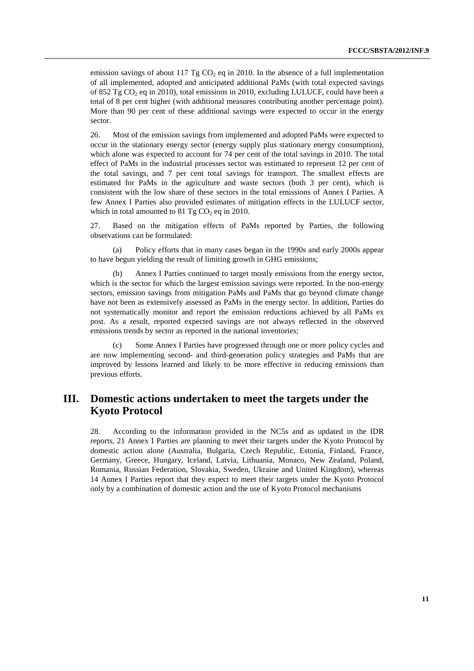emission savings of about 117 Tg  $CO<sub>2</sub>$  eq in 2010. In the absence of a full implementation of all implemented, adopted and anticipated additional PaMs (with total expected savings of 852 Tg  $CO<sub>2</sub>$  eq in 2010), total emissions in 2010, excluding LULUCF, could have been a total of 8 per cent higher (with additional measures contributing another percentage point). More than 90 per cent of these additional savings were expected to occur in the energy sector.

26. Most of the emission savings from implemented and adopted PaMs were expected to occur in the stationary energy sector (energy supply plus stationary energy consumption), which alone was expected to account for 74 per cent of the total savings in 2010. The total effect of PaMs in the industrial processes sector was estimated to represent 12 per cent of the total savings, and 7 per cent total savings for transport. The smallest effects are estimated for PaMs in the agriculture and waste sectors (both 3 per cent), which is consistent with the low share of these sectors in the total emissions of Annex I Parties. A few Annex I Parties also provided estimates of mitigation effects in the LULUCF sector, which in total amounted to  $81 \text{ Tg CO}_2$  eq in 2010.

27. Based on the mitigation effects of PaMs reported by Parties, the following observations can be formulated:

(a) Policy efforts that in many cases began in the 1990s and early 2000s appear to have begun yielding the result of limiting growth in GHG emissions;

(b) Annex I Parties continued to target mostly emissions from the energy sector, which is the sector for which the largest emission savings were reported. In the non-energy sectors, emission savings from mitigation PaMs and PaMs that go beyond climate change have not been as extensively assessed as PaMs in the energy sector. In addition, Parties do not systematically monitor and report the emission reductions achieved by all PaMs ex post. As a result, reported expected savings are not always reflected in the observed emissions trends by sector as reported in the national inventories;

(c) Some Annex I Parties have progressed through one or more policy cycles and are now implementing second- and third-generation policy strategies and PaMs that are improved by lessons learned and likely to be more effective in reducing emissions than previous efforts.

# **III. Domestic actions undertaken to meet the targets under the Kyoto Protocol**

28. According to the information provided in the NC5s and as updated in the IDR reports, 21 Annex I Parties are planning to meet their targets under the Kyoto Protocol by domestic action alone (Australia, Bulgaria, Czech Republic, Estonia, Finland, France, Germany, Greece, Hungary, Iceland, Latvia, Lithuania, Monaco, New Zealand, Poland, Romania, Russian Federation, Slovakia, Sweden, Ukraine and United Kingdom), whereas 14 Annex I Parties report that they expect to meet their targets under the Kyoto Protocol only by a combination of domestic action and the use of Kyoto Protocol mechanisms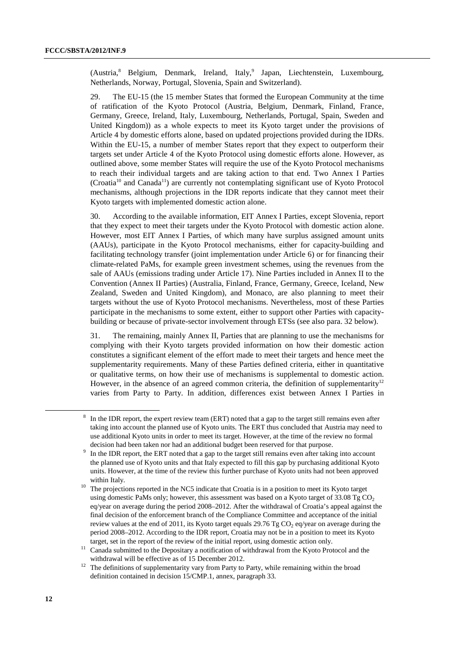(Austria,<sup>8</sup> Belgium, Denmark, Ireland, Italy,<sup>9</sup> Japan, Liechtenstein, Luxembourg, Netherlands, Norway, Portugal, Slovenia, Spain and Switzerland).

29. The EU-15 (the 15 member States that formed the European Community at the time of ratification of the Kyoto Protocol (Austria, Belgium, Denmark, Finland, France, Germany, Greece, Ireland, Italy, Luxembourg, Netherlands, Portugal, Spain, Sweden and United Kingdom)) as a whole expects to meet its Kyoto target under the provisions of Article 4 by domestic efforts alone, based on updated projections provided during the IDRs. Within the EU-15, a number of member States report that they expect to outperform their targets set under Article 4 of the Kyoto Protocol using domestic efforts alone. However, as outlined above, some member States will require the use of the Kyoto Protocol mechanisms to reach their individual targets and are taking action to that end. Two Annex I Parties  $(C_{\text{total}}^{10}$  and Canada<sup>11</sup>) are currently not contemplating significant use of Kyoto Protocol mechanisms, although projections in the IDR reports indicate that they cannot meet their Kyoto targets with implemented domestic action alone.

30. According to the available information, EIT Annex I Parties, except Slovenia, report that they expect to meet their targets under the Kyoto Protocol with domestic action alone. However, most EIT Annex I Parties, of which many have surplus assigned amount units (AAUs), participate in the Kyoto Protocol mechanisms, either for capacity-building and facilitating technology transfer (joint implementation under Article 6) or for financing their climate-related PaMs, for example green investment schemes, using the revenues from the sale of AAUs (emissions trading under Article 17). Nine Parties included in Annex II to the Convention (Annex II Parties) (Australia, Finland, France, Germany, Greece, Iceland, New Zealand, Sweden and United Kingdom), and Monaco, are also planning to meet their targets without the use of Kyoto Protocol mechanisms. Nevertheless, most of these Parties participate in the mechanisms to some extent, either to support other Parties with capacitybuilding or because of private-sector involvement through ETSs (see also para. 32 below).

31. The remaining, mainly Annex II, Parties that are planning to use the mechanisms for complying with their Kyoto targets provided information on how their domestic action constitutes a significant element of the effort made to meet their targets and hence meet the supplementarity requirements. Many of these Parties defined criteria, either in quantitative or qualitative terms, on how their use of mechanisms is supplemental to domestic action. However, in the absence of an agreed common criteria, the definition of supplementarity<sup>12</sup> varies from Party to Party. In addition, differences exist between Annex I Parties in

 $\frac{8}{3}$  In the IDR report, the expert review team (ERT) noted that a gap to the target still remains even after taking into account the planned use of Kyoto units. The ERT thus concluded that Austria may need to use additional Kyoto units in order to meet its target. However, at the time of the review no formal decision had been taken nor had an additional budget been reserved for that purpose.

In the IDR report, the ERT noted that a gap to the target still remains even after taking into account the planned use of Kyoto units and that Italy expected to fill this gap by purchasing additional Kyoto units. However, at the time of the review this further purchase of Kyoto units had not been approved

within Italy.<br><sup>10</sup> The projections reported in the NC5 indicate that Croatia is in a position to meet its Kyoto target using domestic PaMs only; however, this assessment was based on a Kyoto target of  $33.08 \text{ Tg} \text{CO}_2$ eq/year on average during the period 2008–2012. After the withdrawal of Croatia's appeal against the final decision of the enforcement branch of the Compliance Committee and acceptance of the initial review values at the end of 2011, its Kyoto target equals 29.76 Tg CO<sub>2</sub> eq/year on average during the period 2008–2012. According to the IDR report, Croatia may not be in a position to meet its Kyoto

target, set in the report of the review of the initial report, using domestic action only.<br><sup>11</sup> Canada submitted to the Depositary a notification of withdrawal from the Kyoto Protocol and the

withdrawal will be effective as of 15 December 2012.<br><sup>12</sup> The definitions of supplementarity vary from Party to Party, while remaining within the broad definition contained in decision 15/CMP.1, annex, paragraph 33.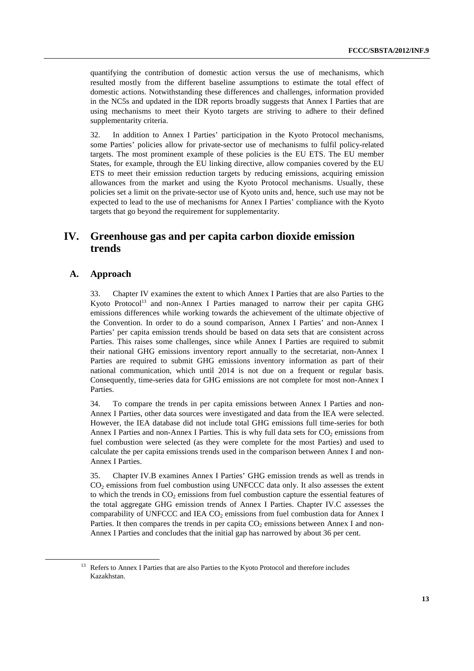quantifying the contribution of domestic action versus the use of mechanisms, which resulted mostly from the different baseline assumptions to estimate the total effect of domestic actions. Notwithstanding these differences and challenges, information provided in the NC5s and updated in the IDR reports broadly suggests that Annex I Parties that are using mechanisms to meet their Kyoto targets are striving to adhere to their defined supplementarity criteria.

32. In addition to Annex I Parties' participation in the Kyoto Protocol mechanisms, some Parties' policies allow for private-sector use of mechanisms to fulfil policy-related targets. The most prominent example of these policies is the EU ETS. The EU member States, for example, through the EU linking directive, allow companies covered by the EU ETS to meet their emission reduction targets by reducing emissions, acquiring emission allowances from the market and using the Kyoto Protocol mechanisms. Usually, these policies set a limit on the private-sector use of Kyoto units and, hence, such use may not be expected to lead to the use of mechanisms for Annex I Parties' compliance with the Kyoto targets that go beyond the requirement for supplementarity.

# **IV. Greenhouse gas and per capita carbon dioxide emission trends**

# **A. Approach**

33. Chapter IV examines the extent to which Annex I Parties that are also Parties to the Kyoto Protocol<sup>13</sup> and non-Annex I Parties managed to narrow their per capita GHG emissions differences while working towards the achievement of the ultimate objective of the Convention. In order to do a sound comparison, Annex I Parties' and non-Annex I Parties' per capita emission trends should be based on data sets that are consistent across Parties. This raises some challenges, since while Annex I Parties are required to submit their national GHG emissions inventory report annually to the secretariat, non-Annex I Parties are required to submit GHG emissions inventory information as part of their national communication, which until 2014 is not due on a frequent or regular basis. Consequently, time-series data for GHG emissions are not complete for most non-Annex I Parties.

34. To compare the trends in per capita emissions between Annex I Parties and non-Annex I Parties, other data sources were investigated and data from the IEA were selected. However, the IEA database did not include total GHG emissions full time-series for both Annex I Parties and non-Annex I Parties. This is why full data sets for  $CO_2$  emissions from fuel combustion were selected (as they were complete for the most Parties) and used to calculate the per capita emissions trends used in the comparison between Annex I and non-Annex I Parties.

35. Chapter IV.B examines Annex I Parties' GHG emission trends as well as trends in CO2 emissions from fuel combustion using UNFCCC data only. It also assesses the extent to which the trends in  $CO<sub>2</sub>$  emissions from fuel combustion capture the essential features of the total aggregate GHG emission trends of Annex I Parties. Chapter IV.C assesses the comparability of UNFCCC and IEA  $CO<sub>2</sub>$  emissions from fuel combustion data for Annex I Parties. It then compares the trends in per capita  $CO<sub>2</sub>$  emissions between Annex I and non-Annex I Parties and concludes that the initial gap has narrowed by about 36 per cent.

<sup>&</sup>lt;sup>13</sup> Refers to Annex I Parties that are also Parties to the Kyoto Protocol and therefore includes Kazakhstan.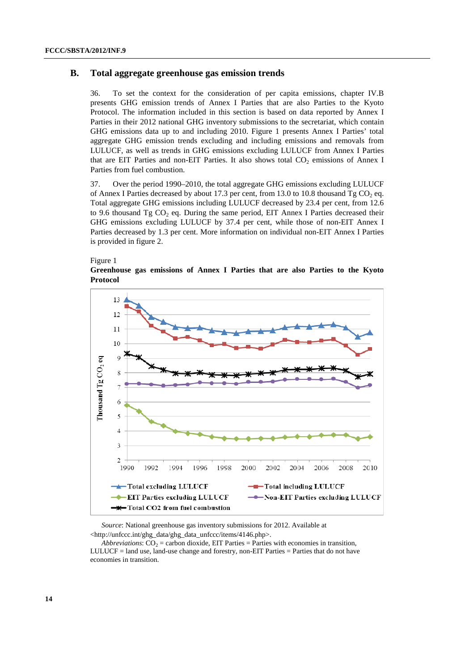# **B. Total aggregate greenhouse gas emission trends**

36. To set the context for the consideration of per capita emissions, chapter IV.B presents GHG emission trends of Annex I Parties that are also Parties to the Kyoto Protocol. The information included in this section is based on data reported by Annex I Parties in their 2012 national GHG inventory submissions to the secretariat, which contain GHG emissions data up to and including 2010. Figure 1 presents Annex I Parties' total aggregate GHG emission trends excluding and including emissions and removals from LULUCF, as well as trends in GHG emissions excluding LULUCF from Annex I Parties that are EIT Parties and non-EIT Parties. It also shows total  $CO<sub>2</sub>$  emissions of Annex I Parties from fuel combustion.

37. Over the period 1990–2010, the total aggregate GHG emissions excluding LULUCF of Annex I Parties decreased by about 17.3 per cent, from 13.0 to 10.8 thousand Tg CO<sub>2</sub> eq. Total aggregate GHG emissions including LULUCF decreased by 23.4 per cent, from 12.6 to 9.6 thousand  $Tg CO<sub>2</sub>$  eq. During the same period, EIT Annex I Parties decreased their GHG emissions excluding LULUCF by 37.4 per cent, while those of non-EIT Annex I Parties decreased by 1.3 per cent. More information on individual non-EIT Annex I Parties is provided in figure 2.



**Greenhouse gas emissions of Annex I Parties that are also Parties to the Kyoto Protocol** 



*Source*: National greenhouse gas inventory submissions for 2012. Available at <http://unfccc.int/ghg\_data/ghg\_data\_unfccc/items/4146.php>.

*Abbreviations*:  $CO_2$  = carbon dioxide, EIT Parties = Parties with economies in transition, LULUCF = land use, land-use change and forestry, non-EIT Parties = Parties that do not have economies in transition.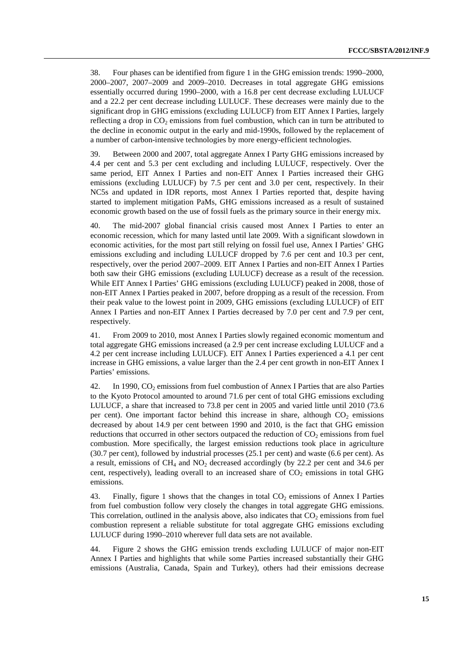38. Four phases can be identified from figure 1 in the GHG emission trends: 1990–2000, 2000–2007, 2007–2009 and 2009–2010. Decreases in total aggregate GHG emissions essentially occurred during 1990–2000, with a 16.8 per cent decrease excluding LULUCF and a 22.2 per cent decrease including LULUCF. These decreases were mainly due to the significant drop in GHG emissions (excluding LULUCF) from EIT Annex I Parties, largely reflecting a drop in  $CO<sub>2</sub>$  emissions from fuel combustion, which can in turn be attributed to the decline in economic output in the early and mid-1990s, followed by the replacement of a number of carbon-intensive technologies by more energy-efficient technologies.

39. Between 2000 and 2007, total aggregate Annex I Party GHG emissions increased by 4.4 per cent and 5.3 per cent excluding and including LULUCF, respectively. Over the same period, EIT Annex I Parties and non-EIT Annex I Parties increased their GHG emissions (excluding LULUCF) by 7.5 per cent and 3.0 per cent, respectively. In their NC5s and updated in IDR reports, most Annex I Parties reported that, despite having started to implement mitigation PaMs, GHG emissions increased as a result of sustained economic growth based on the use of fossil fuels as the primary source in their energy mix.

40. The mid-2007 global financial crisis caused most Annex I Parties to enter an economic recession, which for many lasted until late 2009. With a significant slowdown in economic activities, for the most part still relying on fossil fuel use, Annex I Parties' GHG emissions excluding and including LULUCF dropped by 7.6 per cent and 10.3 per cent, respectively, over the period 2007–2009. EIT Annex I Parties and non-EIT Annex I Parties both saw their GHG emissions (excluding LULUCF) decrease as a result of the recession. While EIT Annex I Parties' GHG emissions (excluding LULUCF) peaked in 2008, those of non-EIT Annex I Parties peaked in 2007, before dropping as a result of the recession. From their peak value to the lowest point in 2009, GHG emissions (excluding LULUCF) of EIT Annex I Parties and non-EIT Annex I Parties decreased by 7.0 per cent and 7.9 per cent, respectively.

41. From 2009 to 2010, most Annex I Parties slowly regained economic momentum and total aggregate GHG emissions increased (a 2.9 per cent increase excluding LULUCF and a 4.2 per cent increase including LULUCF). EIT Annex I Parties experienced a 4.1 per cent increase in GHG emissions, a value larger than the 2.4 per cent growth in non-EIT Annex I Parties' emissions.

42. In 1990,  $CO<sub>2</sub>$  emissions from fuel combustion of Annex I Parties that are also Parties to the Kyoto Protocol amounted to around 71.6 per cent of total GHG emissions excluding LULUCF, a share that increased to 73.8 per cent in 2005 and varied little until 2010 (73.6 per cent). One important factor behind this increase in share, although  $CO<sub>2</sub>$  emissions decreased by about 14.9 per cent between 1990 and 2010, is the fact that GHG emission reductions that occurred in other sectors outpaced the reduction of  $CO<sub>2</sub>$  emissions from fuel combustion. More specifically, the largest emission reductions took place in agriculture (30.7 per cent), followed by industrial processes (25.1 per cent) and waste (6.6 per cent). As a result, emissions of  $CH_4$  and  $NO_2$  decreased accordingly (by 22.2 per cent and 34.6 per cent, respectively), leading overall to an increased share of  $CO<sub>2</sub>$  emissions in total GHG emissions.

43. Finally, figure 1 shows that the changes in total CO<sub>2</sub> emissions of Annex I Parties from fuel combustion follow very closely the changes in total aggregate GHG emissions. This correlation, outlined in the analysis above, also indicates that  $CO<sub>2</sub>$  emissions from fuel combustion represent a reliable substitute for total aggregate GHG emissions excluding LULUCF during 1990–2010 wherever full data sets are not available.

44. Figure 2 shows the GHG emission trends excluding LULUCF of major non-EIT Annex I Parties and highlights that while some Parties increased substantially their GHG emissions (Australia, Canada, Spain and Turkey), others had their emissions decrease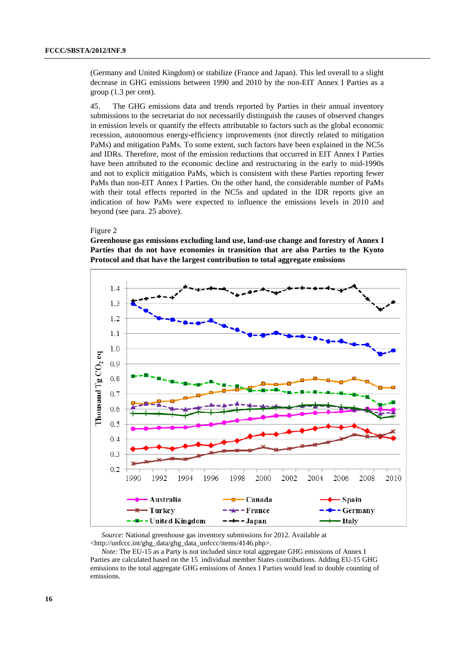(Germany and United Kingdom) or stabilize (France and Japan). This led overall to a slight decrease in GHG emissions between 1990 and 2010 by the non-EIT Annex I Parties as a group (1.3 per cent).

45. The GHG emissions data and trends reported by Parties in their annual inventory submissions to the secretariat do not necessarily distinguish the causes of observed changes in emission levels or quantify the effects attributable to factors such as the global economic recession, autonomous energy-efficiency improvements (not directly related to mitigation PaMs) and mitigation PaMs. To some extent, such factors have been explained in the NC5s and IDRs. Therefore, most of the emission reductions that occurred in EIT Annex I Parties have been attributed to the economic decline and restructuring in the early to mid-1990s and not to explicit mitigation PaMs, which is consistent with these Parties reporting fewer PaMs than non-EIT Annex I Parties. On the other hand, the considerable number of PaMs with their total effects reported in the NC5s and updated in the IDR reports give an indication of how PaMs were expected to influence the emissions levels in 2010 and beyond (see para. 25 above).

### Figure 2

**Greenhouse gas emissions excluding land use, land-use change and forestry of Annex I Parties that do not have economies in transition that are also Parties to the Kyoto Protocol and that have the largest contribution to total aggregate emissions** 



*Source*: National greenhouse gas inventory submissions for 2012. Available at <http://unfccc.int/ghg\_data/ghg\_data\_unfccc/items/4146.php>.

*Note:* The EU-15 as a Party is not included since total aggregate GHG emissions of Annex I Parties are calculated based on the 15 individual member States contributions. Adding EU-15 GHG emissions to the total aggregate GHG emissions of Annex I Parties would lead to double counting of emissions.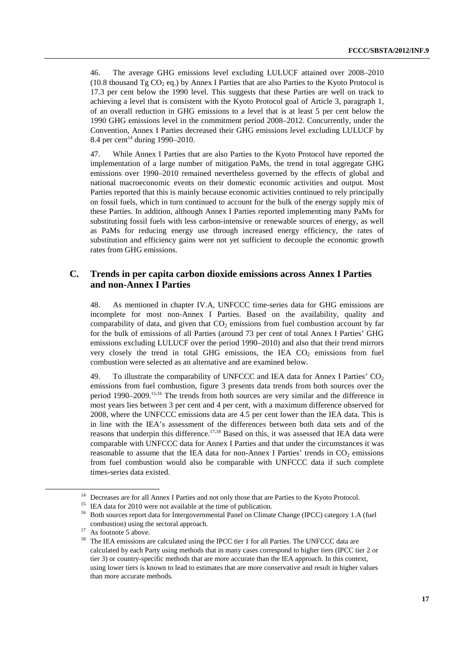46. The average GHG emissions level excluding LULUCF attained over 2008–2010 (10.8 thousand  $Tg CO<sub>2</sub> eq.$ ) by Annex I Parties that are also Parties to the Kyoto Protocol is 17.3 per cent below the 1990 level. This suggests that these Parties are well on track to achieving a level that is consistent with the Kyoto Protocol goal of Article 3, paragraph 1, of an overall reduction in GHG emissions to a level that is at least 5 per cent below the 1990 GHG emissions level in the commitment period 2008–2012. Concurrently, under the Convention, Annex I Parties decreased their GHG emissions level excluding LULUCF by 8.4 per cent<sup>14</sup> during 1990–2010.

47. While Annex I Parties that are also Parties to the Kyoto Protocol have reported the implementation of a large number of mitigation PaMs, the trend in total aggregate GHG emissions over 1990–2010 remained nevertheless governed by the effects of global and national macroeconomic events on their domestic economic activities and output. Most Parties reported that this is mainly because economic activities continued to rely principally on fossil fuels, which in turn continued to account for the bulk of the energy supply mix of these Parties. In addition, although Annex I Parties reported implementing many PaMs for substituting fossil fuels with less carbon-intensive or renewable sources of energy, as well as PaMs for reducing energy use through increased energy efficiency, the rates of substitution and efficiency gains were not yet sufficient to decouple the economic growth rates from GHG emissions.

# **C. Trends in per capita carbon dioxide emissions across Annex I Parties and non-Annex I Parties**

48. As mentioned in chapter IV.A, UNFCCC time-series data for GHG emissions are incomplete for most non-Annex I Parties. Based on the availability, quality and comparability of data, and given that  $CO<sub>2</sub>$  emissions from fuel combustion account by far for the bulk of emissions of all Parties (around 73 per cent of total Annex I Parties' GHG emissions excluding LULUCF over the period 1990–2010) and also that their trend mirrors very closely the trend in total GHG emissions, the IEA  $CO<sub>2</sub>$  emissions from fuel combustion were selected as an alternative and are examined below.

49. To illustrate the comparability of UNFCCC and IEA data for Annex I Parties'  $CO<sub>2</sub>$ emissions from fuel combustion, figure 3 presents data trends from both sources over the period 1990–2009.15,16 The trends from both sources are very similar and the difference in most years lies between 3 per cent and 4 per cent, with a maximum difference observed for 2008, where the UNFCCC emissions data are 4.5 per cent lower than the IEA data. This is in line with the IEA's assessment of the differences between both data sets and of the reasons that underpin this difference.<sup>17,18</sup> Based on this, it was assessed that IEA data were comparable with UNFCCC data for Annex I Parties and that under the circumstances it was reasonable to assume that the IEA data for non-Annex I Parties' trends in  $CO<sub>2</sub>$  emissions from fuel combustion would also be comparable with UNFCCC data if such complete times-series data existed.

Decreases are for all Annex I Parties and not only those that are Parties to the Kyoto Protocol.

<sup>&</sup>lt;sup>15</sup> IEA data for 2010 were not available at the time of publication.

<sup>&</sup>lt;sup>16</sup> Both sources report data for Intergovernmental Panel on Climate Change (IPCC) category 1.A (fuel combustion) using the sectoral approach.<br>As footnote 5 above.

<sup>&</sup>lt;sup>18</sup> The IEA emissions are calculated using the IPCC tier 1 for all Parties. The UNFCCC data are calculated by each Party using methods that in many cases correspond to higher tiers (IPCC tier 2 or tier 3) or country-specific methods that are more accurate than the IEA approach. In this context, using lower tiers is known to lead to estimates that are more conservative and result in higher values than more accurate methods.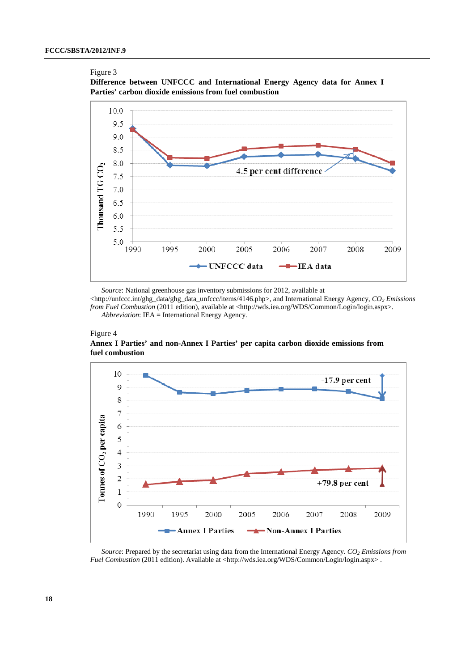#### Figure 3





*Source*: National greenhouse gas inventory submissions for 2012, available at

<http://unfccc.int/ghg\_data/ghg\_data\_unfccc/items/4146.php>, and International Energy Agency, *CO2 Emissions from Fuel Combustion* (2011 edition), available at <http://wds.iea.org/WDS/Common/Login/login.aspx>. *Abbreviation*: IEA = International Energy Agency.



**Annex I Parties' and non-Annex I Parties' per capita carbon dioxide emissions from fuel combustion** 



*Source*: Prepared by the secretariat using data from the International Energy Agency.  $CO_2$  Emissions from *Fuel Combustion* (2011 edition). Available at <http://wds.iea.org/WDS/Common/Login/login.aspx>.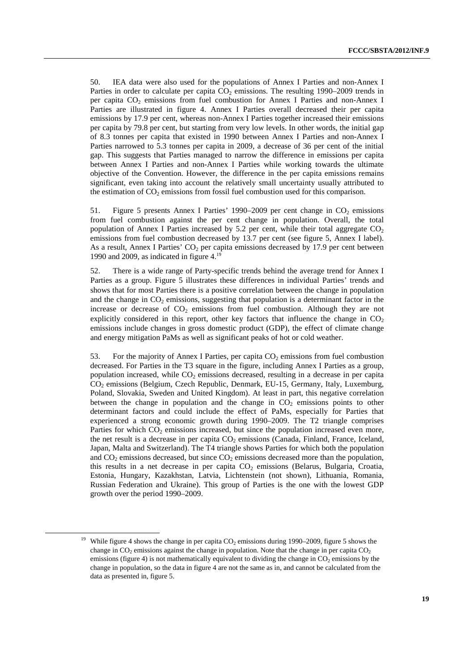50. IEA data were also used for the populations of Annex I Parties and non-Annex I Parties in order to calculate per capita  $CO<sub>2</sub>$  emissions. The resulting 1990–2009 trends in per capita  $CO<sub>2</sub>$  emissions from fuel combustion for Annex I Parties and non-Annex I Parties are illustrated in figure 4. Annex I Parties overall decreased their per capita emissions by 17.9 per cent, whereas non-Annex I Parties together increased their emissions per capita by 79.8 per cent, but starting from very low levels. In other words, the initial gap of 8.3 tonnes per capita that existed in 1990 between Annex I Parties and non-Annex I Parties narrowed to 5.3 tonnes per capita in 2009, a decrease of 36 per cent of the initial gap. This suggests that Parties managed to narrow the difference in emissions per capita between Annex I Parties and non-Annex I Parties while working towards the ultimate objective of the Convention. However, the difference in the per capita emissions remains significant, even taking into account the relatively small uncertainty usually attributed to the estimation of  $CO<sub>2</sub>$  emissions from fossil fuel combustion used for this comparison.

51. Figure 5 presents Annex I Parties' 1990–2009 per cent change in  $CO<sub>2</sub>$  emissions from fuel combustion against the per cent change in population. Overall, the total population of Annex I Parties increased by 5.2 per cent, while their total aggregate  $CO<sub>2</sub>$ emissions from fuel combustion decreased by 13.7 per cent (see figure 5, Annex I label). As a result, Annex I Parties'  $CO<sub>2</sub>$  per capita emissions decreased by 17.9 per cent between 1990 and 2009, as indicated in figure 4.19

52. There is a wide range of Party-specific trends behind the average trend for Annex I Parties as a group. Figure 5 illustrates these differences in individual Parties' trends and shows that for most Parties there is a positive correlation between the change in population and the change in  $CO<sub>2</sub>$  emissions, suggesting that population is a determinant factor in the increase or decrease of  $CO<sub>2</sub>$  emissions from fuel combustion. Although they are not explicitly considered in this report, other key factors that influence the change in  $CO<sub>2</sub>$ emissions include changes in gross domestic product (GDP), the effect of climate change and energy mitigation PaMs as well as significant peaks of hot or cold weather.

53. For the majority of Annex I Parties, per capita  $CO<sub>2</sub>$  emissions from fuel combustion decreased. For Parties in the T3 square in the figure, including Annex I Parties as a group, population increased, while  $CO<sub>2</sub>$  emissions decreased, resulting in a decrease in per capita CO2 emissions (Belgium, Czech Republic, Denmark, EU-15, Germany, Italy, Luxemburg, Poland, Slovakia, Sweden and United Kingdom). At least in part, this negative correlation between the change in population and the change in  $CO<sub>2</sub>$  emissions points to other determinant factors and could include the effect of PaMs, especially for Parties that experienced a strong economic growth during 1990–2009. The T2 triangle comprises Parties for which  $CO<sub>2</sub>$  emissions increased, but since the population increased even more, the net result is a decrease in per capita  $CO<sub>2</sub>$  emissions (Canada, Finland, France, Iceland, Japan, Malta and Switzerland). The T4 triangle shows Parties for which both the population and  $CO<sub>2</sub>$  emissions decreased, but since  $CO<sub>2</sub>$  emissions decreased more than the population, this results in a net decrease in per capita  $CO<sub>2</sub>$  emissions (Belarus, Bulgaria, Croatia, Estonia, Hungary, Kazakhstan, Latvia, Lichtenstein (not shown), Lithuania, Romania, Russian Federation and Ukraine). This group of Parties is the one with the lowest GDP growth over the period 1990–2009.

<sup>&</sup>lt;sup>19</sup> While figure 4 shows the change in per capita  $CO_2$  emissions during 1990–2009, figure 5 shows the change in  $CO_2$  emissions against the change in population. Note that the change in per capita  $CO_2$ emissions (figure 4) is not mathematically equivalent to dividing the change in  $CO<sub>2</sub>$  emissions by the change in population, so the data in figure 4 are not the same as in, and cannot be calculated from the data as presented in, figure 5.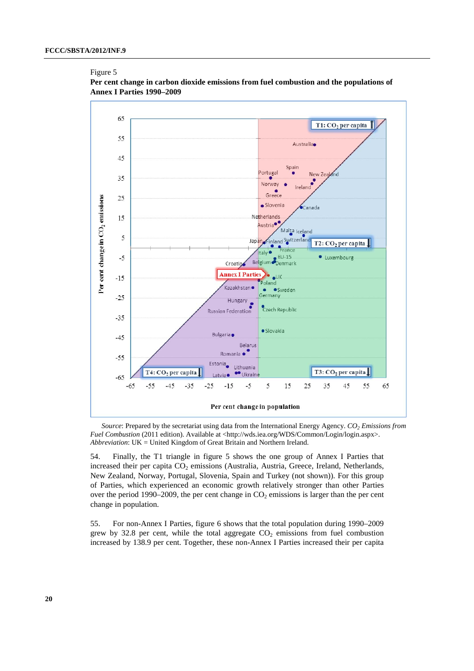Figure 5



### **Per cent change in carbon dioxide emissions from fuel combustion and the populations of Annex I Parties 1990–2009**

*Source*: Prepared by the secretariat using data from the International Energy Agency. *CO2 Emissions from Fuel Combustion* (2011 edition). Available at <http://wds.iea.org/WDS/Common/Login/login.aspx>. *Abbreviation*: UK = United Kingdom of Great Britain and Northern Ireland.

54. Finally, the T1 triangle in figure 5 shows the one group of Annex I Parties that increased their per capita CO<sub>2</sub> emissions (Australia, Austria, Greece, Ireland, Netherlands, New Zealand, Norway, Portugal, Slovenia, Spain and Turkey (not shown)). For this group of Parties, which experienced an economic growth relatively stronger than other Parties over the period 1990–2009, the per cent change in  $CO<sub>2</sub>$  emissions is larger than the per cent change in population.

55. For non-Annex I Parties, figure 6 shows that the total population during 1990–2009 grew by 32.8 per cent, while the total aggregate  $CO<sub>2</sub>$  emissions from fuel combustion increased by 138.9 per cent. Together, these non-Annex I Parties increased their per capita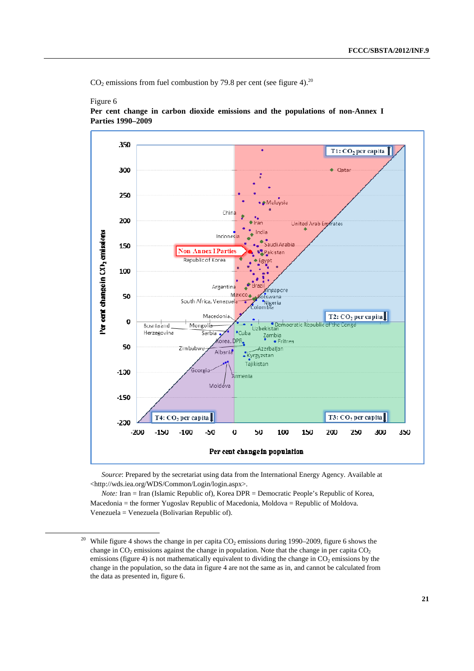$CO<sub>2</sub>$  emissions from fuel combustion by 79.8 per cent (see figure 4).<sup>20</sup>

Figure 6

#### 350 T1: CO<sub>2</sub> pcr capita 300 ÷ Qatar 250 .<br>Malaysia Chine 200 United Arab En frates or cent change in  $(X)$ <sub>2</sub> emissions Indones .<br>Saudi Arabia 150 **Non Annex I Partie** Pakistan Republic of Korea 100 Argentina ingapore 50 Mexico otswana South Africa, Venezuel Nigeria T2: CO<sub>2</sub> per capita Macedonia  $\boldsymbol{0}$ Uzbekistan<br>Uzbekistan<br>Uzbekistan Bosnia and Mongolia Serbia  $$ Herzegovina Zambia<br>• Fritrea orea, DPR 50 **Zimbabw** Azerbaljan Albania Kyrgyzstan Taiikistan Georgia  $-130$ rmenla Moldova  $-150$ T3: CO<sub>2</sub> per capita  $T4$ :  $CO<sub>2</sub>$  per capita  $-230$  $-150$  $-100$  $-50$  $\mathbf 0$ 50 100  $150$ 200 250 500 350 -200 Per cent change in population

**Per cent change in carbon dioxide emissions and the populations of non-Annex I Parties 1990–2009**

*Source*: Prepared by the secretariat using data from the International Energy Agency. Available at <http://wds.iea.org/WDS/Common/Login/login.aspx>.

*Note:* Iran = Iran (Islamic Republic of), Korea DPR = Democratic People's Republic of Korea, Macedonia = the former Yugoslav Republic of Macedonia, Moldova = Republic of Moldova. Venezuela = Venezuela (Bolivarian Republic of).

<sup>&</sup>lt;sup>20</sup> While figure 4 shows the change in per capita  $CO_2$  emissions during 1990–2009, figure 6 shows the change in  $CO_2$  emissions against the change in population. Note that the change in per capita  $CO_2$ emissions (figure 4) is not mathematically equivalent to dividing the change in  $CO<sub>2</sub>$  emissions by the change in the population, so the data in figure 4 are not the same as in, and cannot be calculated from the data as presented in, figure 6.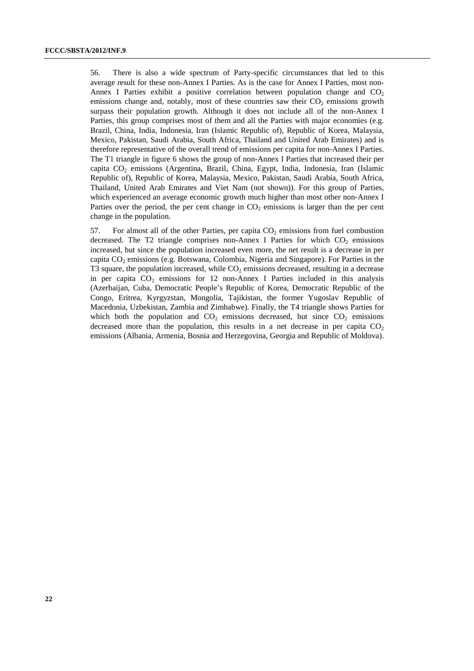56. There is also a wide spectrum of Party-specific circumstances that led to this average result for these non-Annex I Parties. As is the case for Annex I Parties, most non-Annex I Parties exhibit a positive correlation between population change and  $CO<sub>2</sub>$ emissions change and, notably, most of these countries saw their  $CO<sub>2</sub>$  emissions growth surpass their population growth. Although it does not include all of the non-Annex I Parties, this group comprises most of them and all the Parties with major economies (e.g. Brazil, China, India, Indonesia, Iran (Islamic Republic of), Republic of Korea, Malaysia, Mexico, Pakistan, Saudi Arabia, South Africa, Thailand and United Arab Emirates) and is therefore representative of the overall trend of emissions per capita for non-Annex I Parties. The T1 triangle in figure 6 shows the group of non-Annex I Parties that increased their per capita CO2 emissions (Argentina, Brazil, China, Egypt, India, Indonesia, Iran (Islamic Republic of), Republic of Korea, Malaysia, Mexico, Pakistan, Saudi Arabia, South Africa, Thailand, United Arab Emirates and Viet Nam (not shown)). For this group of Parties, which experienced an average economic growth much higher than most other non-Annex I Parties over the period, the per cent change in  $CO<sub>2</sub>$  emissions is larger than the per cent change in the population.

57. For almost all of the other Parties, per capita  $CO<sub>2</sub>$  emissions from fuel combustion decreased. The T2 triangle comprises non-Annex I Parties for which  $CO<sub>2</sub>$  emissions increased, but since the population increased even more, the net result is a decrease in per capita  $CO<sub>2</sub>$  emissions (e.g. Botswana, Colombia, Nigeria and Singapore). For Parties in the T3 square, the population increased, while  $CO<sub>2</sub>$  emissions decreased, resulting in a decrease in per capita  $CO<sub>2</sub>$  emissions for 12 non-Annex I Parties included in this analysis (Azerbaijan, Cuba, Democratic People's Republic of Korea, Democratic Republic of the Congo, Eritrea, Kyrgyzstan, Mongolia, Tajikistan, the former Yugoslav Republic of Macedonia, Uzbekistan, Zambia and Zimbabwe). Finally, the T4 triangle shows Parties for which both the population and  $CO<sub>2</sub>$  emissions decreased, but since  $CO<sub>2</sub>$  emissions decreased more than the population, this results in a net decrease in per capita  $CO<sub>2</sub>$ emissions (Albania, Armenia, Bosnia and Herzegovina, Georgia and Republic of Moldova).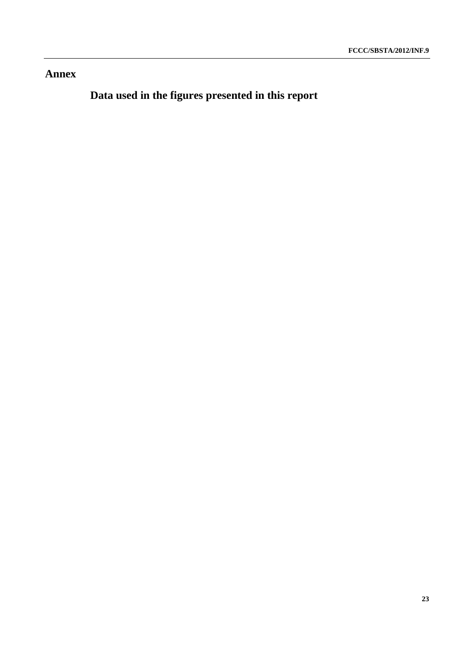# **Annex**

 **Data used in the figures presented in this report**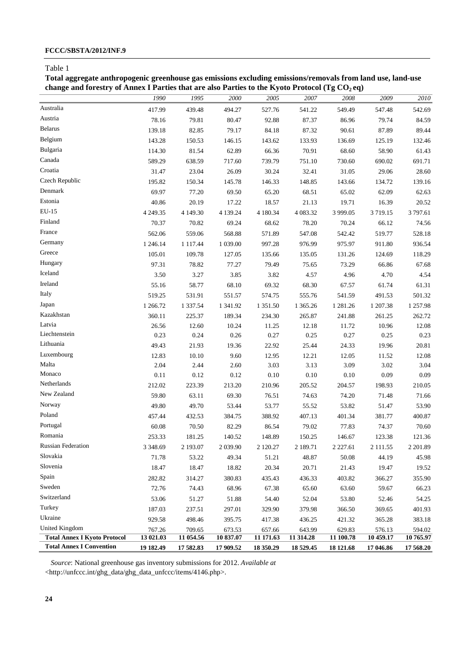## **FCCC/SBSTA/2012/INF.9**

### Table 1

**Total aggregate anthropogenic greenhouse gas emissions excluding emissions/removals from land use, land-use**  change and forestry of Annex I Parties that are also Parties to the Kyoto Protocol (Tg CO<sub>2</sub> eq)

|                                     | 1990       | 1995          | 2000       | 2005      | 2007      | 2008          | 2009        | 2010      |
|-------------------------------------|------------|---------------|------------|-----------|-----------|---------------|-------------|-----------|
| Australia                           | 417.99     | 439.48        | 494.27     | 527.76    | 541.22    | 549.49        | 547.48      | 542.69    |
| Austria                             | 78.16      | 79.81         | 80.47      | 92.88     | 87.37     | 86.96         | 79.74       | 84.59     |
| <b>Belarus</b>                      | 139.18     | 82.85         | 79.17      | 84.18     | 87.32     | 90.61         | 87.89       | 89.44     |
| Belgium                             | 143.28     | 150.53        | 146.15     | 143.62    | 133.93    | 136.69        | 125.19      | 132.46    |
| Bulgaria                            | 114.30     | 81.54         | 62.89      | 66.36     | 70.91     | 68.60         | 58.90       | 61.43     |
| Canada                              | 589.29     | 638.59        | 717.60     | 739.79    | 751.10    | 730.60        | 690.02      | 691.71    |
| Croatia                             | 31.47      | 23.04         | 26.09      | 30.24     | 32.41     | 31.05         | 29.06       | 28.60     |
| Czech Republic                      | 195.82     | 150.34        | 145.78     | 146.33    | 148.85    | 143.66        | 134.72      | 139.16    |
| Denmark                             | 69.97      | 77.20         | 69.50      | 65.20     | 68.51     | 65.02         | 62.09       | 62.63     |
| Estonia                             | 40.86      | 20.19         | 17.22      | 18.57     | 21.13     | 19.71         | 16.39       | 20.52     |
| EU-15                               | 4 249.35   | 4 149.30      | 4 139.24   | 4 180.34  | 4 083.32  | 3 9 9 9.05    | 3719.15     | 3 797.61  |
| Finland                             | 70.37      | 70.82         | 69.24      | 68.62     | 78.20     | 70.24         | 66.12       | 74.56     |
| France                              | 562.06     | 559.06        | 568.88     | 571.89    | 547.08    | 542.42        | 519.77      | 528.18    |
| Germany                             | 1 246.14   | 1 1 1 7 .44   | 1 039.00   | 997.28    | 976.99    | 975.97        | 911.80      | 936.54    |
| Greece                              | 105.01     | 109.78        | 127.05     | 135.66    | 135.05    | 131.26        | 124.69      | 118.29    |
| Hungary                             | 97.31      | 78.82         | 77.27      | 79.49     | 75.65     | 73.29         | 66.86       | 67.68     |
| Iceland                             | 3.50       | 3.27          | 3.85       | 3.82      | 4.57      | 4.96          | 4.70        | 4.54      |
| Ireland                             | 55.16      | 58.77         | 68.10      | 69.32     | 68.30     | 67.57         | 61.74       | 61.31     |
| Italy                               | 519.25     | 531.91        | 551.57     | 574.75    | 555.76    | 541.59        | 491.53      | 501.32    |
| Japan                               | 1 266.72   | 1 3 3 7 . 5 4 | 1 341.92   | 1 351.50  | 1 365.26  | 1 2 8 1 . 2 6 | 1 207.38    | 1 257.98  |
| Kazakhstan                          | 360.11     | 225.37        | 189.34     | 234.30    | 265.87    | 241.88        | 261.25      | 262.72    |
| Latvia                              | 26.56      | 12.60         | 10.24      | 11.25     | 12.18     | 11.72         | 10.96       | 12.08     |
| Liechtenstein                       | 0.23       | 0.24          | 0.26       | 0.27      | 0.25      | 0.27          | 0.25        | 0.23      |
| Lithuania                           | 49.43      | 21.93         | 19.36      | 22.92     | 25.44     | 24.33         | 19.96       | 20.81     |
| Luxembourg                          | 12.83      | 10.10         | 9.60       | 12.95     | 12.21     | 12.05         | 11.52       | 12.08     |
| Malta                               | 2.04       | 2.44          | 2.60       | 3.03      | 3.13      | 3.09          | 3.02        | 3.04      |
| Monaco                              | 0.11       | 0.12          | 0.12       | 0.10      | 0.10      | 0.10          | 0.09        | 0.09      |
| Netherlands                         | 212.02     | 223.39        | 213.20     | 210.96    | 205.52    | 204.57        | 198.93      | 210.05    |
| New Zealand                         | 59.80      | 63.11         | 69.30      | 76.51     | 74.63     | 74.20         | 71.48       | 71.66     |
| Norway                              | 49.80      | 49.70         | 53.44      | 53.77     | 55.52     | 53.82         | 51.47       | 53.90     |
| Poland                              | 457.44     | 432.53        | 384.75     | 388.92    | 407.13    | 401.34        | 381.77      | 400.87    |
| Portugal                            | 60.08      | 70.50         | 82.29      | 86.54     | 79.02     | 77.83         | 74.37       | 70.60     |
| Romania                             | 253.33     | 181.25        | 140.52     | 148.89    | 150.25    | 146.67        | 123.38      | 121.36    |
| <b>Russian Federation</b>           | 3 3 48 .69 | 2 193.07      | 2 0 3 9.90 | 2 120.27  | 2 189.71  | 2 2 2 7 .61   | 2 1 1 1 .55 | 2 201.89  |
| Slovakia                            | 71.78      | 53.22         | 49.34      | 51.21     | 48.87     | 50.08         | 44.19       | 45.98     |
| Slovenia                            | 18.47      | 18.47         | 18.82      | 20.34     | 20.71     | 21.43         | 19.47       | 19.52     |
| Spain                               | 282.82     | 314.27        | 380.83     | 435.43    | 436.33    | 403.82        | 366.27      | 355.90    |
| Sweden                              | 72.76      | 74.43         | 68.96      | 67.38     | 65.60     | 63.60         | 59.67       | 66.23     |
| Switzerland                         | 53.06      | 51.27         | 51.88      | 54.40     | 52.04     | 53.80         | 52.46       | 54.25     |
| Turkey                              | 187.03     | 237.51        | 297.01     | 329.90    | 379.98    | 366.50        | 369.65      | 401.93    |
| Ukraine                             | 929.58     | 498.46        | 395.75     | 417.38    | 436.25    | 421.32        | 365.28      | 383.18    |
| United Kingdom                      | 767.26     | 709.65        | 673.53     | 657.66    | 643.99    | 629.83        | 576.13      | 594.02    |
| <b>Total Annex I Kyoto Protocol</b> | 13 021.03  | 11 054.56     | 10 837.07  | 11 171.63 | 11 314.28 | 11 100.78     | 10 459.17   | 10 765.97 |
| <b>Total Annex I Convention</b>     | 19 182.49  | 17 582.83     | 17 909.52  | 18 350.29 | 18 529.45 | 18 121.68     | 17 046.86   | 17 568.20 |

*Source*: National greenhouse gas inventory submissions for 2012. *Available at*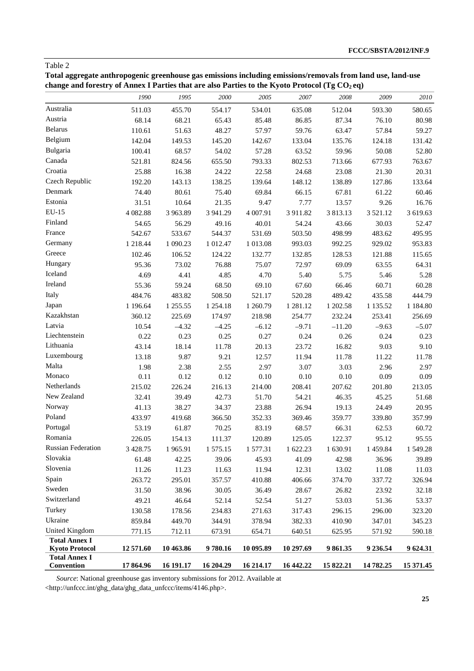**Total aggregate anthropogenic greenhouse gas emissions including emissions/removals from land use, land-use**  change and forestry of Annex I Parties that are also Parties to the Kyoto Protocol (Tg CO<sub>2</sub> eq)

|                                               | 1990      | 1995      | 2000          | 2005      | 2007      | 2008             | 2009          | 2010      |
|-----------------------------------------------|-----------|-----------|---------------|-----------|-----------|------------------|---------------|-----------|
| Australia                                     | 511.03    | 455.70    | 554.17        | 534.01    | 635.08    | 512.04           | 593.30        | 580.65    |
| Austria                                       | 68.14     | 68.21     | 65.43         | 85.48     | 86.85     | 87.34            | 76.10         | 80.98     |
| <b>Belarus</b>                                | 110.61    | 51.63     | 48.27         | 57.97     | 59.76     | 63.47            | 57.84         | 59.27     |
| Belgium                                       | 142.04    | 149.53    | 145.20        | 142.67    | 133.04    | 135.76           | 124.18        | 131.42    |
| Bulgaria                                      | 100.41    | 68.57     | 54.02         | 57.28     | 63.52     | 59.96            | 50.08         | 52.80     |
| Canada                                        | 521.81    | 824.56    | 655.50        | 793.33    | 802.53    | 713.66           | 677.93        | 763.67    |
| Croatia                                       | 25.88     | 16.38     | 24.22         | 22.58     | 24.68     | 23.08            | 21.30         | 20.31     |
| Czech Republic                                | 192.20    | 143.13    | 138.25        | 139.64    | 148.12    | 138.89           | 127.86        | 133.64    |
| Denmark                                       | 74.40     | 80.61     | 75.40         | 69.84     | 66.15     | 67.81            | 61.22         | 60.46     |
| Estonia                                       | 31.51     | 10.64     | 21.35         | 9.47      | 7.77      | 13.57            | 9.26          | 16.76     |
| EU-15                                         | 4 082.88  | 3 963.89  | 3 941.29      | 4 007.91  | 3 911.82  | 3813.13          | 3 5 2 1 . 1 2 | 3 619.63  |
| Finland                                       | 54.65     | 56.29     | 49.16         | 40.01     | 54.24     | 43.66            | 30.03         | 52.47     |
| France                                        | 542.67    | 533.67    | 544.37        | 531.69    | 503.50    | 498.99           | 483.62        | 495.95    |
| Germany                                       | 1 218.44  | 1 090.23  | 1 012.47      | 1 013.08  | 993.03    | 992.25           | 929.02        | 953.83    |
| Greece                                        | 102.46    | 106.52    | 124.22        | 132.77    | 132.85    | 128.53           | 121.88        | 115.65    |
| Hungary                                       | 95.36     | 73.02     | 76.88         | 75.07     | 72.97     | 69.09            | 63.55         | 64.31     |
| Iceland                                       | 4.69      | 4.41      | 4.85          | 4.70      | 5.40      | 5.75             | 5.46          | 5.28      |
| Ireland                                       | 55.36     | 59.24     | 68.50         | 69.10     | 67.60     | 66.46            | 60.71         | 60.28     |
| Italy                                         | 484.76    | 483.82    | 508.50        | 521.17    | 520.28    | 489.42           | 435.58        | 444.79    |
| Japan                                         | 1 196.64  | 1 255.55  | 1 2 5 4 . 1 8 | 1 260.79  | 1 281.12  | 1 202.58         | 1 1 3 5 . 5 2 | 1 184.80  |
| Kazakhstan                                    | 360.12    | 225.69    | 174.97        | 218.98    | 254.77    | 232.24           | 253.41        | 256.69    |
| Latvia                                        | 10.54     | $-4.32$   | $-4.25$       | $-6.12$   | $-9.71$   |                  | $-9.63$       | $-5.07$   |
| Liechtenstein                                 | 0.22      | 0.23      | 0.25          | 0.27      | 0.24      | $-11.20$<br>0.26 | 0.24          | 0.23      |
| Lithuania                                     | 43.14     | 18.14     | 11.78         | 20.13     | 23.72     | 16.82            | 9.03          | 9.10      |
| Luxembourg                                    | 13.18     | 9.87      | 9.21          | 12.57     | 11.94     | 11.78            | 11.22         | 11.78     |
| Malta                                         | 1.98      | 2.38      |               | 2.97      | 3.07      | 3.03             | 2.96          | 2.97      |
| Monaco                                        | 0.11      | 0.12      | 2.55<br>0.12  | 0.10      | 0.10      | 0.10             | 0.09          | 0.09      |
| Netherlands                                   | 215.02    | 226.24    | 216.13        | 214.00    | 208.41    | 207.62           | 201.80        | 213.05    |
| New Zealand                                   | 32.41     | 39.49     | 42.73         | 51.70     | 54.21     | 46.35            | 45.25         | 51.68     |
| Norway                                        |           |           |               |           |           |                  |               |           |
| Poland                                        | 41.13     | 38.27     | 34.37         | 23.88     | 26.94     | 19.13            | 24.49         | 20.95     |
| Portugal                                      | 433.97    | 419.68    | 366.50        | 352.33    | 369.46    | 359.77           | 339.80        | 357.99    |
| Romania                                       | 53.19     | 61.87     | 70.25         | 83.19     | 68.57     | 66.31            | 62.53         | 60.72     |
| Russian Federation                            | 226.05    | 154.13    | 111.37        | 120.89    | 125.05    | 122.37           | 95.12         | 95.55     |
|                                               | 3 4 28.75 | 1965.91   | 1 575.15      | 1 577.31  | 1 622.23  | 1 630.91         | 1 459.84      | 1 549.28  |
| Slovakia                                      | 61.48     | 42.25     | 39.06         | 45.93     | 41.09     | 42.98            | 36.96         | 39.89     |
| Slovenia                                      | 11.26     | 11.23     | 11.63         | 11.94     | 12.31     | 13.02            | 11.08         | 11.03     |
| Spain                                         | 263.72    | 295.01    | 357.57        | 410.88    | 406.66    | 374.70           | 337.72        | 326.94    |
| Sweden                                        | 31.50     | 38.96     | 30.05         | 36.49     | 28.67     | 26.82            | 23.92         | 32.18     |
| Switzerland                                   | 49.21     | 46.64     | 52.14         | 52.54     | 51.27     | 53.03            | 51.36         | 53.37     |
| Turkey                                        | 130.58    | 178.56    | 234.83        | 271.63    | 317.43    | 296.15           | 296.00        | 323.20    |
| Ukraine                                       | 859.84    | 449.70    | 344.91        | 378.94    | 382.33    | 410.90           | 347.01        | 345.23    |
| <b>United Kingdom</b>                         | 771.15    | 712.11    | 673.91        | 654.71    | 640.51    | 625.95           | 571.92        | 590.18    |
| <b>Total Annex I</b><br><b>Kyoto Protocol</b> | 12 571.60 | 10 463.86 | 9780.16       | 10 095.89 | 10 297.69 | 9861.35          | 9 236.54      | 9 624.31  |
| <b>Total Annex I</b>                          |           |           |               |           |           |                  |               |           |
| Convention                                    | 17864.96  | 16 191.17 | 16 204.29     | 16 214.17 | 16 442.22 | 15 822.21        | 14 782.25     | 15 371.45 |

*Source*: National greenhouse gas inventory submissions for 2012. Available at

<http://unfccc.int/ghg\_data/ghg\_data\_unfccc/items/4146.php>.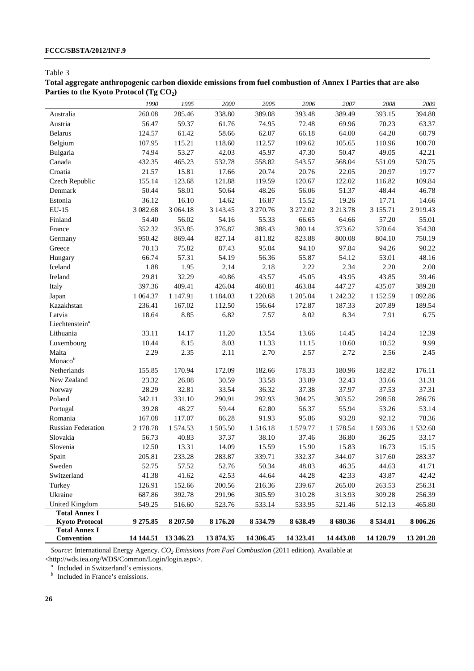# **Total aggregate anthropogenic carbon dioxide emissions from fuel combustion of Annex I Parties that are also**  Parties to the Kyoto Protocol (Tg CO<sub>2</sub>)

|                                               | 1990      | 1995      | 2000     | 2005       | 2006      | 2007      | 2008          | 2009      |
|-----------------------------------------------|-----------|-----------|----------|------------|-----------|-----------|---------------|-----------|
| Australia                                     | 260.08    | 285.46    | 338.80   | 389.08     | 393.48    | 389.49    | 393.15        | 394.88    |
| Austria                                       | 56.47     | 59.37     | 61.76    | 74.95      | 72.48     | 69.96     | 70.23         | 63.37     |
| <b>Belarus</b>                                | 124.57    | 61.42     | 58.66    | 62.07      | 66.18     | 64.00     | 64.20         | 60.79     |
| Belgium                                       | 107.95    | 115.21    | 118.60   | 112.57     | 109.62    | 105.65    | 110.96        | 100.70    |
| Bulgaria                                      | 74.94     | 53.27     | 42.03    | 45.97      | 47.30     | 50.47     | 49.05         | 42.21     |
| Canada                                        | 432.35    | 465.23    | 532.78   | 558.82     | 543.57    | 568.04    | 551.09        | 520.75    |
| Croatia                                       | 21.57     | 15.81     | 17.66    | 20.74      | 20.76     | 22.05     | 20.97         | 19.77     |
| Czech Republic                                | 155.14    | 123.68    | 121.88   | 119.59     | 120.67    | 122.02    | 116.82        | 109.84    |
| Denmark                                       | 50.44     | 58.01     | 50.64    | 48.26      | 56.06     | 51.37     | 48.44         | 46.78     |
| Estonia                                       | 36.12     | 16.10     | 14.62    | 16.87      | 15.52     | 19.26     | 17.71         | 14.66     |
| EU-15                                         | 3 082.68  | 3 064.18  | 3 143.45 | 3 270.76   | 3 272.02  | 3 213.78  | 3 155.71      | 2919.43   |
| Finland                                       | 54.40     | 56.02     | 54.16    | 55.33      | 66.65     | 64.66     | 57.20         | 55.01     |
| France                                        | 352.32    | 353.85    | 376.87   | 388.43     | 380.14    | 373.62    | 370.64        | 354.30    |
| Germany                                       | 950.42    | 869.44    | 827.14   | 811.82     | 823.88    | 800.08    | 804.10        | 750.19    |
| Greece                                        | 70.13     | 75.82     | 87.43    | 95.04      | 94.10     | 97.84     | 94.26         | 90.22     |
| Hungary                                       | 66.74     | 57.31     | 54.19    | 56.36      | 55.87     | 54.12     | 53.01         | 48.16     |
| Iceland                                       | 1.88      | 1.95      | 2.14     | 2.18       | 2.22      | 2.34      | 2.20          | 2.00      |
| Ireland                                       | 29.81     | 32.29     | 40.86    | 43.57      | 45.05     | 43.95     | 43.85         | 39.46     |
| Italy                                         | 397.36    | 409.41    | 426.04   | 460.81     | 463.84    | 447.27    | 435.07        | 389.28    |
| Japan                                         | 1 0 64.37 | 1 147.91  | 1 184.03 | 1 220.68   | 1 205.04  | 1 242.32  | 1 1 5 2 . 5 9 | 1 092.86  |
| Kazakhstan                                    | 236.41    | 167.02    | 112.50   | 156.64     | 172.87    | 187.33    | 207.89        | 189.54    |
| Latvia                                        | 18.64     | 8.85      | 6.82     | 7.57       | 8.02      | 8.34      | 7.91          | 6.75      |
| Liechtenstein <sup>a</sup>                    |           |           |          |            |           |           |               |           |
| Lithuania                                     | 33.11     | 14.17     | 11.20    | 13.54      | 13.66     | 14.45     | 14.24         | 12.39     |
| Luxembourg                                    | 10.44     | 8.15      | 8.03     | 11.33      | 11.15     | 10.60     | 10.52         | 9.99      |
| Malta                                         | 2.29      | 2.35      | 2.11     | 2.70       | 2.57      | 2.72      | 2.56          | 2.45      |
| Monaco $b$                                    |           |           |          |            |           |           |               |           |
| Netherlands                                   | 155.85    | 170.94    | 172.09   | 182.66     | 178.33    | 180.96    | 182.82        | 176.11    |
| New Zealand                                   | 23.32     | 26.08     | 30.59    | 33.58      | 33.89     | 32.43     | 33.66         | 31.31     |
| Norway                                        | 28.29     | 32.81     | 33.54    | 36.32      | 37.38     | 37.97     | 37.53         | 37.31     |
| Poland                                        | 342.11    | 331.10    | 290.91   | 292.93     | 304.25    | 303.52    | 298.58        | 286.76    |
| Portugal                                      | 39.28     | 48.27     | 59.44    | 62.80      | 56.37     | 55.94     | 53.26         | 53.14     |
| Romania                                       | 167.08    | 117.07    | 86.28    | 91.93      | 95.86     | 93.28     | 92.12         | 78.36     |
| <b>Russian Federation</b>                     | 2 178.78  | 1 574.53  | 1 505.50 | 1516.18    | 1 579.77  | 1 578.54  | 1593.36       | 1532.60   |
| Slovakia                                      | 56.73     | 40.83     | 37.37    | 38.10      | 37.46     | 36.80     | 36.25         | 33.17     |
| Slovenia                                      | 12.50     | 13.31     | 14.09    | 15.59      | 15.90     | 15.83     | 16.73         | 15.15     |
| Spain                                         | 205.81    | 233.28    | 283.87   | 339.71     | 332.37    | 344.07    | 317.60        | 283.37    |
| Sweden                                        | 52.75     | 57.52     | 52.76    | 50.34      | 48.03     | 46.35     | 44.63         | 41.71     |
| Switzerland                                   | 41.38     | 41.62     | 42.53    | 44.64      | 44.28     | 42.33     | 43.87         | 42.42     |
| Turkey                                        | 126.91    | 152.66    | 200.56   | 216.36     | 239.67    | 265.00    | 263.53        | 256.31    |
| Ukraine                                       | 687.86    | 392.78    | 291.96   | 305.59     | 310.28    | 313.93    | 309.28        | 256.39    |
| United Kingdom                                | 549.25    | 516.60    | 523.76   | 533.14     | 533.95    | 521.46    | 512.13        | 465.80    |
| <b>Total Annex I</b>                          |           |           |          |            |           |           |               |           |
| <b>Kyoto Protocol</b><br><b>Total Annex I</b> | 9 275.85  | 8 207.50  | 8 176.20 | 8534.79    | 8 638.49  | 8 680.36  | 8 534.01      | 8 006.26  |
| Convention                                    | 14 144.51 | 13 346.23 | 13874.35 | 14 30 6.45 | 14 323.41 | 14 443.08 | 14 120.79     | 13 201.28 |
|                                               |           |           |          |            |           |           |               |           |

*Source*: International Energy Agency. *CO2 Emissions from Fuel Combustion* (2011 edition). Available at <http://wds.iea.org/WDS/Common/Login/login.aspx>.

<sup>a</sup> Included in Switzerland's emissions.

*b* Included in France's emissions.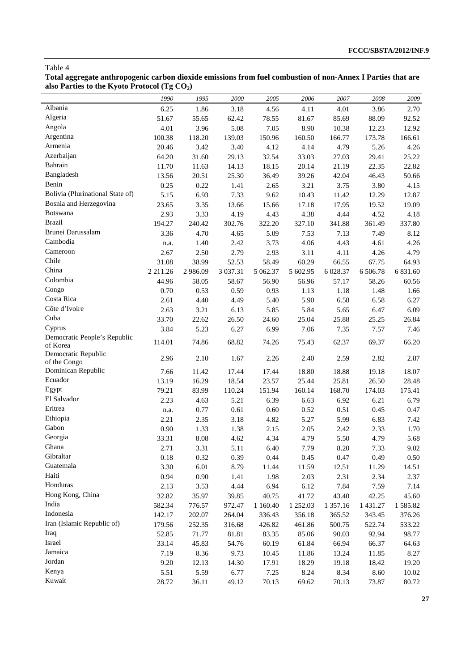| Total aggregate anthropogenic carbon dioxide emissions from fuel combustion of non-Annex I Parties that are |
|-------------------------------------------------------------------------------------------------------------|
| also Parties to the Kyoto Protocol (Tg $CO2$ )                                                              |
|                                                                                                             |

|                                  | 1990          | 1995     | 2000          | 2005     | 2006     | 2007     | 2008     | 2009     |
|----------------------------------|---------------|----------|---------------|----------|----------|----------|----------|----------|
| Albania                          | 6.25          | 1.86     | 3.18          | 4.56     | 4.11     | 4.01     | 3.86     | 2.70     |
| Algeria                          | 51.67         | 55.65    | 62.42         | 78.55    | 81.67    | 85.69    | 88.09    | 92.52    |
| Angola                           | 4.01          | 3.96     | 5.08          | 7.05     | 8.90     | 10.38    | 12.23    | 12.92    |
| Argentina                        | 100.38        | 118.20   | 139.03        | 150.96   | 160.50   | 166.77   | 173.78   | 166.61   |
| Armenia                          | 20.46         | 3.42     | 3.40          | 4.12     | 4.14     | 4.79     | 5.26     | 4.26     |
| Azerbaijan                       | 64.20         | 31.60    | 29.13         | 32.54    | 33.03    | 27.03    | 29.41    | 25.22    |
| Bahrain                          | 11.70         | 11.63    | 14.13         | 18.15    | 20.14    | 21.19    | 22.35    | 22.82    |
| Bangladesh                       | 13.56         | 20.51    | 25.30         | 36.49    | 39.26    | 42.04    | 46.43    | 50.66    |
| Benin                            | 0.25          | 0.22     | 1.41          | 2.65     | 3.21     | 3.75     | 3.80     | 4.15     |
| Bolivia (Plurinational State of) | 5.15          | 6.93     | 7.33          | 9.62     | 10.43    | 11.42    | 12.29    | 12.87    |
| Bosnia and Herzegovina           | 23.65         | 3.35     | 13.66         | 15.66    | 17.18    | 17.95    | 19.52    | 19.09    |
| <b>Botswana</b>                  | 2.93          | 3.33     | 4.19          | 4.43     | 4.38     | 4.44     | 4.52     | 4.18     |
| <b>Brazil</b>                    | 194.27        | 240.42   | 302.76        | 322.20   | 327.10   | 341.88   | 361.49   | 337.80   |
| Brunei Darussalam                | 3.36          | 4.70     | 4.65          | 5.09     | 7.53     | 7.13     | 7.49     | 8.12     |
| Cambodia                         | n.a.          | 1.40     | 2.42          | 3.73     | 4.06     | 4.43     | 4.61     | 4.26     |
| Cameroon                         | 2.67          | 2.50     | 2.79          | 2.93     | 3.11     | 4.11     | 4.26     | 4.79     |
| Chile                            | 31.08         | 38.99    | 52.53         | 58.49    | 60.29    | 66.55    | 67.75    | 64.93    |
| China                            | 2 2 1 1 . 2 6 | 2 986.09 | 3 0 3 7 . 3 1 | 5 062.37 | 5 602.95 | 6 028.37 | 6 506.78 | 6 831.60 |
| Colombia                         | 44.96         | 58.05    | 58.67         | 56.90    | 56.96    | 57.17    | 58.26    | 60.56    |
| Congo                            | 0.70          | 0.53     | 0.59          | 0.93     | 1.13     | 1.18     | 1.48     | 1.66     |
| Costa Rica                       | 2.61          | 4.40     | 4.49          | 5.40     | 5.90     | 6.58     | 6.58     | 6.27     |
| Côte d'Ivoire                    | 2.63          | 3.21     | 6.13          | 5.85     | 5.84     | 5.65     | 6.47     | 6.09     |
| Cuba                             | 33.70         | 22.62    | 26.50         | 24.60    | 25.04    | 25.88    | 25.25    | 26.84    |
| Cyprus                           | 3.84          | 5.23     | 6.27          | 6.99     | 7.06     | 7.35     | 7.57     | 7.46     |
| Democratic People's Republic     |               |          |               |          |          |          |          |          |
| of Korea                         | 114.01        | 74.86    | 68.82         | 74.26    | 75.43    | 62.37    | 69.37    | 66.20    |
| Democratic Republic              | 2.96          | 2.10     | 1.67          | 2.26     | 2.40     | 2.59     | 2.82     | 2.87     |
| of the Congo                     |               |          |               |          |          |          |          |          |
| Dominican Republic               | 7.66          | 11.42    | 17.44         | 17.44    | 18.80    | 18.88    | 19.18    | 18.07    |
| Ecuador                          | 13.19         | 16.29    | 18.54         | 23.57    | 25.44    | 25.81    | 26.50    | 28.48    |
| Egypt                            | 79.21         | 83.99    | 110.24        | 151.94   | 160.14   | 168.70   | 174.03   | 175.41   |
| El Salvador                      | 2.23          | 4.63     | 5.21          | 6.39     | 6.63     | 6.92     | 6.21     | 6.79     |
| Eritrea                          | n.a.          | 0.77     | 0.61          | 0.60     | 0.52     | 0.51     | 0.45     | 0.47     |
| Ethiopia                         | 2.21          | 2.35     | 3.18          | 4.82     | 5.27     | 5.99     | 6.83     | 7.42     |
| Gabon                            | 0.90          | 1.33     | 1.38          | 2.15     | 2.05     | 2.42     | 2.33     | 1.70     |
| Georgia                          | 33.31         | 8.08     | 4.62          | 4.34     | 4.79     | 5.50     | 4.79     | 5.68     |
| Ghana                            | 2.71          | 3.31     | 5.11          | 6.40     | 7.79     | 8.20     | 7.33     | 9.02     |
| Gibraltar                        | 0.18          | 0.32     | 0.39          | 0.44     | 0.45     | 0.47     | 0.49     | 0.50     |
| Guatemala                        | 3.30          | 6.01     | 8.79          | 11.44    | 11.59    | 12.51    | 11.29    | 14.51    |
| Haiti                            | 0.94          | 0.90     | 1.41          | 1.98     | 2.03     | 2.31     | 2.34     | 2.37     |
| Honduras                         | 2.13          | 3.53     | 4.44          | 6.94     | 6.12     | 7.84     | 7.59     | 7.14     |
| Hong Kong, China                 | 32.82         | 35.97    | 39.85         | 40.75    | 41.72    | 43.40    | 42.25    | 45.60    |
| India                            | 582.34        | 776.57   | 972.47        | 1 160.40 | 1 252.03 | 1 357.16 | 1 431.27 | 1585.82  |
| Indonesia                        | 142.17        | 202.07   | 264.04        | 336.43   | 356.18   | 365.52   | 343.45   | 376.26   |
| Iran (Islamic Republic of)       | 179.56        | 252.35   | 316.68        | 426.82   | 461.86   | 500.75   | 522.74   | 533.22   |
| Iraq                             | 52.85         | 71.77    | 81.81         | 83.35    | 85.06    | 90.03    | 92.94    | 98.77    |
| Israel                           | 33.14         | 45.83    | 54.76         | 60.19    | 61.84    | 66.94    | 66.37    | 64.63    |
| Jamaica                          | 7.19          | 8.36     | 9.73          | 10.45    | 11.86    | 13.24    | 11.85    | 8.27     |
| Jordan                           | 9.20          | 12.13    | 14.30         | 17.91    | 18.29    | 19.18    | 18.42    | 19.20    |
| Kenya                            | 5.51          | 5.59     | 6.77          | 7.25     | 8.24     | 8.34     | 8.60     | 10.02    |
| Kuwait                           | 28.72         | 36.11    | 49.12         | 70.13    | 69.62    | 70.13    | 73.87    | 80.72    |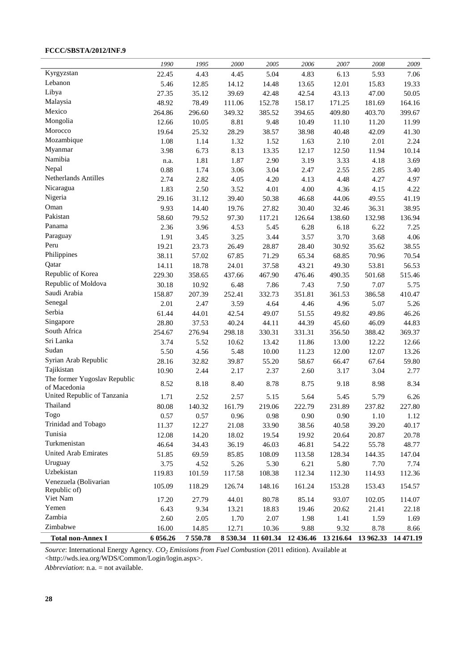# **FCCC/SBSTA/2012/INF.9**

|                              | 1990     | 1995    | 2000   | 2005                                   | 2006     | 2007   | 2008                | 2009   |
|------------------------------|----------|---------|--------|----------------------------------------|----------|--------|---------------------|--------|
| Kyrgyzstan                   | 22.45    | 4.43    | 4.45   | 5.04                                   | 4.83     | 6.13   | 5.93                | 7.06   |
| Lebanon                      | 5.46     | 12.85   | 14.12  | 14.48                                  | 13.65    | 12.01  | 15.83               | 19.33  |
| Libya                        | 27.35    | 35.12   | 39.69  | 42.48                                  | 42.54    | 43.13  | 47.00               | 50.05  |
| Malaysia                     | 48.92    | 78.49   | 111.06 | 152.78                                 | 158.17   | 171.25 | 181.69              | 164.16 |
| Mexico                       | 264.86   | 296.60  | 349.32 | 385.52                                 | 394.65   | 409.80 | 403.70              | 399.67 |
| Mongolia                     | 12.66    | 10.05   | 8.81   | 9.48                                   | 10.49    | 11.10  | 11.20               | 11.99  |
| Morocco                      | 19.64    | 25.32   | 28.29  | 38.57                                  | 38.98    | 40.48  | 42.09               | 41.30  |
| Mozambique                   | 1.08     | 1.14    | 1.32   | 1.52                                   | 1.63     | 2.10   | 2.01                | 2.24   |
| Myanmar                      | 3.98     | 6.73    | 8.13   | 13.35                                  | 12.17    | 12.50  | 11.94               | 10.14  |
| Namibia                      | n.a.     | 1.81    | 1.87   | 2.90                                   | 3.19     | 3.33   | 4.18                | 3.69   |
| Nepal                        | 0.88     | 1.74    | 3.06   | 3.04                                   | 2.47     | 2.55   | 2.85                | 3.40   |
| Netherlands Antilles         | 2.74     | 2.82    | 4.05   | 4.20                                   | 4.13     | 4.48   | 4.27                | 4.97   |
| Nicaragua                    | 1.83     | 2.50    | 3.52   | 4.01                                   | 4.00     | 4.36   | 4.15                | 4.22   |
| Nigeria                      | 29.16    | 31.12   | 39.40  | 50.38                                  | 46.68    | 44.06  | 49.55               | 41.19  |
| Oman                         | 9.93     | 14.40   | 19.76  | 27.82                                  | 30.40    | 32.46  | 36.31               | 38.95  |
| Pakistan                     | 58.60    | 79.52   | 97.30  | 117.21                                 | 126.64   | 138.60 | 132.98              | 136.94 |
| Panama                       | 2.36     | 3.96    | 4.53   | 5.45                                   | 6.28     | 6.18   | 6.22                | 7.25   |
| Paraguay                     | 1.91     | 3.45    | 3.25   | 3.44                                   | 3.57     | 3.70   | 3.68                | 4.06   |
| Peru                         | 19.21    | 23.73   | 26.49  | 28.87                                  | 28.40    | 30.92  | 35.62               | 38.55  |
| Philippines                  | 38.11    | 57.02   | 67.85  | 71.29                                  | 65.34    | 68.85  | 70.96               | 70.54  |
| Qatar                        | 14.11    | 18.78   | 24.01  | 37.58                                  | 43.21    | 49.30  | 53.81               | 56.53  |
| Republic of Korea            | 229.30   | 358.65  | 437.66 | 467.90                                 | 476.46   | 490.35 | 501.68              | 515.46 |
| Republic of Moldova          | 30.18    | 10.92   | 6.48   | 7.86                                   | 7.43     | 7.50   | 7.07                | 5.75   |
| Saudi Arabia                 | 158.87   | 207.39  | 252.41 | 332.73                                 | 351.81   | 361.53 | 386.58              | 410.47 |
| Senegal                      | 2.01     | 2.47    | 3.59   | 4.64                                   | 4.46     | 4.96   | 5.07                | 5.26   |
| Serbia                       | 61.44    | 44.01   | 42.54  | 49.07                                  | 51.55    | 49.82  | 49.86               | 46.26  |
| Singapore                    | 28.80    | 37.53   | 40.24  | 44.11                                  | 44.39    | 45.60  | 46.09               | 44.83  |
| South Africa                 | 254.67   | 276.94  | 298.18 | 330.31                                 | 331.31   | 356.50 | 388.42              | 369.37 |
| Sri Lanka                    | 3.74     | 5.52    | 10.62  | 13.42                                  | 11.86    | 13.00  | 12.22               | 12.66  |
| Sudan                        | 5.50     | 4.56    | 5.48   | 10.00                                  | 11.23    | 12.00  | 12.07               | 13.26  |
| Syrian Arab Republic         | 28.16    | 32.82   | 39.87  | 55.20                                  | 58.67    | 66.47  | 67.64               | 59.80  |
| Tajikistan                   | 10.90    | 2.44    | 2.17   | 2.37                                   | 2.60     | 3.17   | 3.04                | 2.77   |
| The former Yugoslav Republic |          |         |        |                                        |          |        |                     |        |
| of Macedonia                 | 8.52     | 8.18    | 8.40   | 8.78                                   | 8.75     | 9.18   | 8.98                | 8.34   |
| United Republic of Tanzania  | 1.71     | 2.52    | 2.57   | 5.15                                   | 5.64     | 5.45   | 5.79                | 6.26   |
| Thailand                     | 80.08    | 140.32  | 161.79 | 219.06                                 | 222.79   | 231.89 | 237.82              | 227.80 |
| Togo                         | 0.57     | 0.57    | 0.96   | $0.98\,$                               | $0.90\,$ | 0.90   | $1.10\,$            | 1.12   |
| Trinidad and Tobago          | 11.37    | 12.27   | 21.08  | 33.90                                  | 38.56    | 40.58  | 39.20               | 40.17  |
| Tunisia                      | 12.08    | 14.20   | 18.02  | 19.54                                  | 19.92    | 20.64  | 20.87               | 20.78  |
| Turkmenistan                 | 46.64    | 34.43   | 36.19  | 46.03                                  | 46.81    | 54.22  | 55.78               | 48.77  |
| <b>United Arab Emirates</b>  | 51.85    | 69.59   | 85.85  | 108.09                                 | 113.58   | 128.34 | 144.35              | 147.04 |
| Uruguay                      | 3.75     | 4.52    | 5.26   | 5.30                                   | 6.21     | 5.80   | 7.70                | 7.74   |
| Uzbekistan                   | 119.83   | 101.59  | 117.58 | 108.38                                 | 112.34   | 112.30 | 114.93              | 112.36 |
| Venezuela (Bolivarian        | 105.09   | 118.29  | 126.74 | 148.16                                 | 161.24   | 153.28 | 153.43              | 154.57 |
| Republic of)                 |          |         |        |                                        |          |        |                     |        |
| Viet Nam                     | 17.20    | 27.79   | 44.01  | 80.78                                  | 85.14    | 93.07  | 102.05              | 114.07 |
| Yemen                        | 6.43     | 9.34    | 13.21  | 18.83                                  | 19.46    | 20.62  | 21.41               | 22.18  |
| Zambia                       | 2.60     | 2.05    | 1.70   | 2.07                                   | 1.98     | 1.41   | 1.59                | 1.69   |
| Zimbabwe                     | 16.00    | 14.85   | 12.71  | 10.36                                  | 9.88     | 9.32   | 8.78                | 8.66   |
| <b>Total non-Annex I</b>     | 6 056.26 | 7550.78 |        | 8 530.34 11 601.34 12 436.46 13 216.64 |          |        | 13 962.33 14 471.19 |        |

*Source*: International Energy Agency. *CO2 Emissions from Fuel Combustion* (2011 edition). Available at <http://wds.iea.org/WDS/Common/Login/login.aspx>.

*Abbreviation*: n.a. = not available.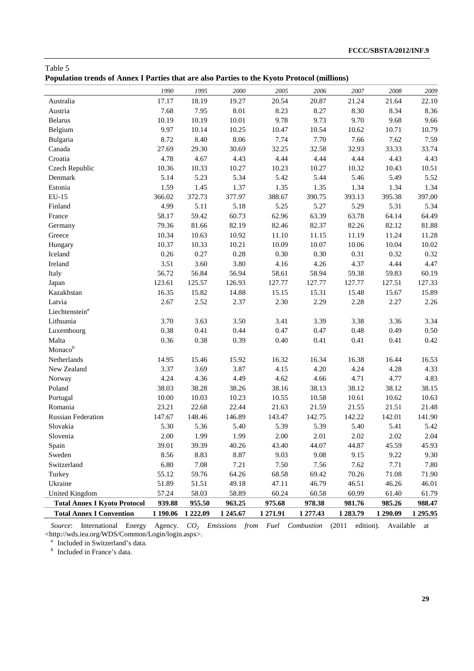|  |  |  | Population trends of Annex I Parties that are also Parties to the Kyoto Protocol (millions) |
|--|--|--|---------------------------------------------------------------------------------------------|
|--|--|--|---------------------------------------------------------------------------------------------|

| 2006<br>1990<br>1995<br>2000<br>2005<br>2007<br>2008<br>20.87<br>21.24<br>21.64<br>17.17<br>18.19<br>19.27<br>20.54<br>Australia<br>8.01<br>8.23<br>8.27<br>8.30<br>8.34<br>Austria<br>7.68<br>7.95<br>9.78<br>9.73<br>9.70<br><b>Belarus</b><br>10.19<br>10.19<br>10.01<br>9.68<br>9.97<br>Belgium<br>10.14<br>10.25<br>10.47<br>10.54<br>10.62<br>10.71<br>8.72<br>8.40<br>8.06<br>7.74<br>7.70<br>Bulgaria<br>7.66<br>7.62<br>27.69<br>32.25<br>33.33<br>Canada<br>29.30<br>30.69<br>32.58<br>32.93<br>4.78<br>4.44<br>4.44<br>Croatia<br>4.67<br>4.43<br>4.44<br>4.43<br>Czech Republic<br>10.36<br>10.33<br>10.27<br>10.23<br>10.27<br>10.32<br>10.43<br>5.14<br>5.23<br>5.44<br>Denmark<br>5.34<br>5.42<br>5.46<br>5.49<br>1.59<br>1.34<br>Estonia<br>1.45<br>1.37<br>1.35<br>1.35<br>1.34<br>366.02<br>372.73<br>388.67<br>$EU-15$<br>377.97<br>390.75<br>393.13<br>395.38<br>4.99<br>5.25<br>5.29<br>5.31<br>Finland<br>5.11<br>5.18<br>5.27<br>58.17<br>59.42<br>60.73<br>62.96<br>63.39<br>63.78<br>64.14<br>France<br>79.36<br>81.66<br>82.19<br>82.46<br>82.37<br>82.26<br>82.12<br>Germany<br>10.34<br>10.63<br>10.92<br>11.10<br>11.15<br>11.19<br>11.24<br>Greece<br>10.07<br>10.37<br>10.33<br>10.21<br>10.09<br>10.06<br>10.04<br>Hungary<br>0.26<br>$0.30\,$<br>Iceland<br>0.27<br>0.28<br>$0.30\,$<br>0.31<br>0.32<br>3.60<br>3.80<br>4.26<br>Ireland<br>3.51<br>4.16<br>4.37<br>4.44<br>56.72<br>58.94<br>56.84<br>56.94<br>58.61<br>59.38<br>59.83<br>Italy<br>123.61<br>125.57<br>126.93<br>127.77<br>127.77<br>127.77<br>127.51<br>Japan<br>15.15<br>Kazakhstan<br>16.35<br>15.82<br>14.88<br>15.31<br>15.48<br>15.67<br>Latvia<br>2.67<br>2.52<br>2.37<br>2.30<br>2.29<br>2.28<br>2.27<br>Liechtenstein <sup>a</sup><br>3.70<br>Lithuania<br>3.63<br>3.50<br>3.41<br>3.39<br>3.38<br>3.36<br>0.38<br>0.41<br>0.44<br>0.47<br>0.47<br>0.48<br>0.49<br>Luxembourg<br>Malta<br>0.36<br>0.38<br>0.39<br>0.40<br>0.41<br>0.41<br>0.41<br>Monaco $b$<br>Netherlands<br>14.95<br>15.46<br>15.92<br>16.32<br>16.34<br>16.38<br>16.44<br>4.20<br>4.24<br>New Zealand<br>3.37<br>3.69<br>3.87<br>4.15<br>4.28<br>4.36<br>4.24<br>4.49<br>4.62<br>4.66<br>4.71<br>4.77<br>Norway<br>Poland<br>38.03<br>38.28<br>38.26<br>38.16<br>38.13<br>38.12<br>38.12<br>10.00<br>10.03<br>10.23<br>10.55<br>10.58<br>10.62<br>Portugal<br>10.61<br>Romania<br>23.21<br>22.68<br>21.59<br>21.51<br>22.44<br>21.63<br>21.55<br>Russian Federation<br>147.67<br>148.46<br>146.89<br>143.47<br>142.75<br>142.22<br>142.01<br>Slovakia<br>5.30<br>5.36<br>5.40<br>5.39<br>5.39<br>5.40<br>5.41<br>2.00<br>1.99<br>1.99<br>2.00<br>2.01<br>2.02<br>Slovenia<br>2.02<br>39.01<br>39.39<br>40.26<br>43.40<br>44.07<br>44.87<br>45.59<br>Spain<br>8.56<br>9.08<br>Sweden<br>8.83<br>8.87<br>9.03<br>9.15<br>9.22<br>6.80<br>7.08<br>Switzerland<br>7.21<br>7.50<br>7.56<br>7.62<br>7.71<br>55.12<br>Turkey<br>59.76<br>64.26<br>68.58<br>69.42<br>70.26<br>71.08<br>Ukraine<br>51.89<br>51.51<br>49.18<br>47.11<br>46.79<br>46.51<br>46.26<br>United Kingdom<br>57.24<br>58.03<br>58.89<br>60.24<br>60.58<br>60.99<br>61.40<br><b>Total Annex I Kyoto Protocol</b><br>955.50<br>963.25<br>978.38<br>985.26<br>939.88<br>975.68<br>981.76<br><b>Total Annex I Convention</b><br>1 2 2 2 . 0 9<br>1 245.67<br>1 271.91<br>1 277.43<br>1 283.79<br>1 290.09<br>1 190.06 |  |  |  |  |          |
|---------------------------------------------------------------------------------------------------------------------------------------------------------------------------------------------------------------------------------------------------------------------------------------------------------------------------------------------------------------------------------------------------------------------------------------------------------------------------------------------------------------------------------------------------------------------------------------------------------------------------------------------------------------------------------------------------------------------------------------------------------------------------------------------------------------------------------------------------------------------------------------------------------------------------------------------------------------------------------------------------------------------------------------------------------------------------------------------------------------------------------------------------------------------------------------------------------------------------------------------------------------------------------------------------------------------------------------------------------------------------------------------------------------------------------------------------------------------------------------------------------------------------------------------------------------------------------------------------------------------------------------------------------------------------------------------------------------------------------------------------------------------------------------------------------------------------------------------------------------------------------------------------------------------------------------------------------------------------------------------------------------------------------------------------------------------------------------------------------------------------------------------------------------------------------------------------------------------------------------------------------------------------------------------------------------------------------------------------------------------------------------------------------------------------------------------------------------------------------------------------------------------------------------------------------------------------------------------------------------------------------------------------------------------------------------------------------------------------------------------------------------------------------------------------------------------------------------------------------------------------------------------------------------------------------------------------------------------------------------------------------------------------------------------------------------------------------------------------------------------------------------------------------------------------------------------------------------------------------------------------------------------------------------------------------------------------------------------------------------|--|--|--|--|----------|
|                                                                                                                                                                                                                                                                                                                                                                                                                                                                                                                                                                                                                                                                                                                                                                                                                                                                                                                                                                                                                                                                                                                                                                                                                                                                                                                                                                                                                                                                                                                                                                                                                                                                                                                                                                                                                                                                                                                                                                                                                                                                                                                                                                                                                                                                                                                                                                                                                                                                                                                                                                                                                                                                                                                                                                                                                                                                                                                                                                                                                                                                                                                                                                                                                                                                                                                                                               |  |  |  |  | 2009     |
|                                                                                                                                                                                                                                                                                                                                                                                                                                                                                                                                                                                                                                                                                                                                                                                                                                                                                                                                                                                                                                                                                                                                                                                                                                                                                                                                                                                                                                                                                                                                                                                                                                                                                                                                                                                                                                                                                                                                                                                                                                                                                                                                                                                                                                                                                                                                                                                                                                                                                                                                                                                                                                                                                                                                                                                                                                                                                                                                                                                                                                                                                                                                                                                                                                                                                                                                                               |  |  |  |  | 22.10    |
|                                                                                                                                                                                                                                                                                                                                                                                                                                                                                                                                                                                                                                                                                                                                                                                                                                                                                                                                                                                                                                                                                                                                                                                                                                                                                                                                                                                                                                                                                                                                                                                                                                                                                                                                                                                                                                                                                                                                                                                                                                                                                                                                                                                                                                                                                                                                                                                                                                                                                                                                                                                                                                                                                                                                                                                                                                                                                                                                                                                                                                                                                                                                                                                                                                                                                                                                                               |  |  |  |  | 8.36     |
|                                                                                                                                                                                                                                                                                                                                                                                                                                                                                                                                                                                                                                                                                                                                                                                                                                                                                                                                                                                                                                                                                                                                                                                                                                                                                                                                                                                                                                                                                                                                                                                                                                                                                                                                                                                                                                                                                                                                                                                                                                                                                                                                                                                                                                                                                                                                                                                                                                                                                                                                                                                                                                                                                                                                                                                                                                                                                                                                                                                                                                                                                                                                                                                                                                                                                                                                                               |  |  |  |  | 9.66     |
|                                                                                                                                                                                                                                                                                                                                                                                                                                                                                                                                                                                                                                                                                                                                                                                                                                                                                                                                                                                                                                                                                                                                                                                                                                                                                                                                                                                                                                                                                                                                                                                                                                                                                                                                                                                                                                                                                                                                                                                                                                                                                                                                                                                                                                                                                                                                                                                                                                                                                                                                                                                                                                                                                                                                                                                                                                                                                                                                                                                                                                                                                                                                                                                                                                                                                                                                                               |  |  |  |  | 10.79    |
|                                                                                                                                                                                                                                                                                                                                                                                                                                                                                                                                                                                                                                                                                                                                                                                                                                                                                                                                                                                                                                                                                                                                                                                                                                                                                                                                                                                                                                                                                                                                                                                                                                                                                                                                                                                                                                                                                                                                                                                                                                                                                                                                                                                                                                                                                                                                                                                                                                                                                                                                                                                                                                                                                                                                                                                                                                                                                                                                                                                                                                                                                                                                                                                                                                                                                                                                                               |  |  |  |  | 7.59     |
|                                                                                                                                                                                                                                                                                                                                                                                                                                                                                                                                                                                                                                                                                                                                                                                                                                                                                                                                                                                                                                                                                                                                                                                                                                                                                                                                                                                                                                                                                                                                                                                                                                                                                                                                                                                                                                                                                                                                                                                                                                                                                                                                                                                                                                                                                                                                                                                                                                                                                                                                                                                                                                                                                                                                                                                                                                                                                                                                                                                                                                                                                                                                                                                                                                                                                                                                                               |  |  |  |  | 33.74    |
|                                                                                                                                                                                                                                                                                                                                                                                                                                                                                                                                                                                                                                                                                                                                                                                                                                                                                                                                                                                                                                                                                                                                                                                                                                                                                                                                                                                                                                                                                                                                                                                                                                                                                                                                                                                                                                                                                                                                                                                                                                                                                                                                                                                                                                                                                                                                                                                                                                                                                                                                                                                                                                                                                                                                                                                                                                                                                                                                                                                                                                                                                                                                                                                                                                                                                                                                                               |  |  |  |  | 4.43     |
|                                                                                                                                                                                                                                                                                                                                                                                                                                                                                                                                                                                                                                                                                                                                                                                                                                                                                                                                                                                                                                                                                                                                                                                                                                                                                                                                                                                                                                                                                                                                                                                                                                                                                                                                                                                                                                                                                                                                                                                                                                                                                                                                                                                                                                                                                                                                                                                                                                                                                                                                                                                                                                                                                                                                                                                                                                                                                                                                                                                                                                                                                                                                                                                                                                                                                                                                                               |  |  |  |  | 10.51    |
|                                                                                                                                                                                                                                                                                                                                                                                                                                                                                                                                                                                                                                                                                                                                                                                                                                                                                                                                                                                                                                                                                                                                                                                                                                                                                                                                                                                                                                                                                                                                                                                                                                                                                                                                                                                                                                                                                                                                                                                                                                                                                                                                                                                                                                                                                                                                                                                                                                                                                                                                                                                                                                                                                                                                                                                                                                                                                                                                                                                                                                                                                                                                                                                                                                                                                                                                                               |  |  |  |  | 5.52     |
|                                                                                                                                                                                                                                                                                                                                                                                                                                                                                                                                                                                                                                                                                                                                                                                                                                                                                                                                                                                                                                                                                                                                                                                                                                                                                                                                                                                                                                                                                                                                                                                                                                                                                                                                                                                                                                                                                                                                                                                                                                                                                                                                                                                                                                                                                                                                                                                                                                                                                                                                                                                                                                                                                                                                                                                                                                                                                                                                                                                                                                                                                                                                                                                                                                                                                                                                                               |  |  |  |  | 1.34     |
|                                                                                                                                                                                                                                                                                                                                                                                                                                                                                                                                                                                                                                                                                                                                                                                                                                                                                                                                                                                                                                                                                                                                                                                                                                                                                                                                                                                                                                                                                                                                                                                                                                                                                                                                                                                                                                                                                                                                                                                                                                                                                                                                                                                                                                                                                                                                                                                                                                                                                                                                                                                                                                                                                                                                                                                                                                                                                                                                                                                                                                                                                                                                                                                                                                                                                                                                                               |  |  |  |  | 397.00   |
|                                                                                                                                                                                                                                                                                                                                                                                                                                                                                                                                                                                                                                                                                                                                                                                                                                                                                                                                                                                                                                                                                                                                                                                                                                                                                                                                                                                                                                                                                                                                                                                                                                                                                                                                                                                                                                                                                                                                                                                                                                                                                                                                                                                                                                                                                                                                                                                                                                                                                                                                                                                                                                                                                                                                                                                                                                                                                                                                                                                                                                                                                                                                                                                                                                                                                                                                                               |  |  |  |  | 5.34     |
|                                                                                                                                                                                                                                                                                                                                                                                                                                                                                                                                                                                                                                                                                                                                                                                                                                                                                                                                                                                                                                                                                                                                                                                                                                                                                                                                                                                                                                                                                                                                                                                                                                                                                                                                                                                                                                                                                                                                                                                                                                                                                                                                                                                                                                                                                                                                                                                                                                                                                                                                                                                                                                                                                                                                                                                                                                                                                                                                                                                                                                                                                                                                                                                                                                                                                                                                                               |  |  |  |  | 64.49    |
|                                                                                                                                                                                                                                                                                                                                                                                                                                                                                                                                                                                                                                                                                                                                                                                                                                                                                                                                                                                                                                                                                                                                                                                                                                                                                                                                                                                                                                                                                                                                                                                                                                                                                                                                                                                                                                                                                                                                                                                                                                                                                                                                                                                                                                                                                                                                                                                                                                                                                                                                                                                                                                                                                                                                                                                                                                                                                                                                                                                                                                                                                                                                                                                                                                                                                                                                                               |  |  |  |  | 81.88    |
|                                                                                                                                                                                                                                                                                                                                                                                                                                                                                                                                                                                                                                                                                                                                                                                                                                                                                                                                                                                                                                                                                                                                                                                                                                                                                                                                                                                                                                                                                                                                                                                                                                                                                                                                                                                                                                                                                                                                                                                                                                                                                                                                                                                                                                                                                                                                                                                                                                                                                                                                                                                                                                                                                                                                                                                                                                                                                                                                                                                                                                                                                                                                                                                                                                                                                                                                                               |  |  |  |  | 11.28    |
|                                                                                                                                                                                                                                                                                                                                                                                                                                                                                                                                                                                                                                                                                                                                                                                                                                                                                                                                                                                                                                                                                                                                                                                                                                                                                                                                                                                                                                                                                                                                                                                                                                                                                                                                                                                                                                                                                                                                                                                                                                                                                                                                                                                                                                                                                                                                                                                                                                                                                                                                                                                                                                                                                                                                                                                                                                                                                                                                                                                                                                                                                                                                                                                                                                                                                                                                                               |  |  |  |  | 10.02    |
|                                                                                                                                                                                                                                                                                                                                                                                                                                                                                                                                                                                                                                                                                                                                                                                                                                                                                                                                                                                                                                                                                                                                                                                                                                                                                                                                                                                                                                                                                                                                                                                                                                                                                                                                                                                                                                                                                                                                                                                                                                                                                                                                                                                                                                                                                                                                                                                                                                                                                                                                                                                                                                                                                                                                                                                                                                                                                                                                                                                                                                                                                                                                                                                                                                                                                                                                                               |  |  |  |  | 0.32     |
|                                                                                                                                                                                                                                                                                                                                                                                                                                                                                                                                                                                                                                                                                                                                                                                                                                                                                                                                                                                                                                                                                                                                                                                                                                                                                                                                                                                                                                                                                                                                                                                                                                                                                                                                                                                                                                                                                                                                                                                                                                                                                                                                                                                                                                                                                                                                                                                                                                                                                                                                                                                                                                                                                                                                                                                                                                                                                                                                                                                                                                                                                                                                                                                                                                                                                                                                                               |  |  |  |  | 4.47     |
|                                                                                                                                                                                                                                                                                                                                                                                                                                                                                                                                                                                                                                                                                                                                                                                                                                                                                                                                                                                                                                                                                                                                                                                                                                                                                                                                                                                                                                                                                                                                                                                                                                                                                                                                                                                                                                                                                                                                                                                                                                                                                                                                                                                                                                                                                                                                                                                                                                                                                                                                                                                                                                                                                                                                                                                                                                                                                                                                                                                                                                                                                                                                                                                                                                                                                                                                                               |  |  |  |  | 60.19    |
|                                                                                                                                                                                                                                                                                                                                                                                                                                                                                                                                                                                                                                                                                                                                                                                                                                                                                                                                                                                                                                                                                                                                                                                                                                                                                                                                                                                                                                                                                                                                                                                                                                                                                                                                                                                                                                                                                                                                                                                                                                                                                                                                                                                                                                                                                                                                                                                                                                                                                                                                                                                                                                                                                                                                                                                                                                                                                                                                                                                                                                                                                                                                                                                                                                                                                                                                                               |  |  |  |  | 127.33   |
|                                                                                                                                                                                                                                                                                                                                                                                                                                                                                                                                                                                                                                                                                                                                                                                                                                                                                                                                                                                                                                                                                                                                                                                                                                                                                                                                                                                                                                                                                                                                                                                                                                                                                                                                                                                                                                                                                                                                                                                                                                                                                                                                                                                                                                                                                                                                                                                                                                                                                                                                                                                                                                                                                                                                                                                                                                                                                                                                                                                                                                                                                                                                                                                                                                                                                                                                                               |  |  |  |  | 15.89    |
|                                                                                                                                                                                                                                                                                                                                                                                                                                                                                                                                                                                                                                                                                                                                                                                                                                                                                                                                                                                                                                                                                                                                                                                                                                                                                                                                                                                                                                                                                                                                                                                                                                                                                                                                                                                                                                                                                                                                                                                                                                                                                                                                                                                                                                                                                                                                                                                                                                                                                                                                                                                                                                                                                                                                                                                                                                                                                                                                                                                                                                                                                                                                                                                                                                                                                                                                                               |  |  |  |  | 2.26     |
|                                                                                                                                                                                                                                                                                                                                                                                                                                                                                                                                                                                                                                                                                                                                                                                                                                                                                                                                                                                                                                                                                                                                                                                                                                                                                                                                                                                                                                                                                                                                                                                                                                                                                                                                                                                                                                                                                                                                                                                                                                                                                                                                                                                                                                                                                                                                                                                                                                                                                                                                                                                                                                                                                                                                                                                                                                                                                                                                                                                                                                                                                                                                                                                                                                                                                                                                                               |  |  |  |  |          |
|                                                                                                                                                                                                                                                                                                                                                                                                                                                                                                                                                                                                                                                                                                                                                                                                                                                                                                                                                                                                                                                                                                                                                                                                                                                                                                                                                                                                                                                                                                                                                                                                                                                                                                                                                                                                                                                                                                                                                                                                                                                                                                                                                                                                                                                                                                                                                                                                                                                                                                                                                                                                                                                                                                                                                                                                                                                                                                                                                                                                                                                                                                                                                                                                                                                                                                                                                               |  |  |  |  | 3.34     |
|                                                                                                                                                                                                                                                                                                                                                                                                                                                                                                                                                                                                                                                                                                                                                                                                                                                                                                                                                                                                                                                                                                                                                                                                                                                                                                                                                                                                                                                                                                                                                                                                                                                                                                                                                                                                                                                                                                                                                                                                                                                                                                                                                                                                                                                                                                                                                                                                                                                                                                                                                                                                                                                                                                                                                                                                                                                                                                                                                                                                                                                                                                                                                                                                                                                                                                                                                               |  |  |  |  | 0.50     |
|                                                                                                                                                                                                                                                                                                                                                                                                                                                                                                                                                                                                                                                                                                                                                                                                                                                                                                                                                                                                                                                                                                                                                                                                                                                                                                                                                                                                                                                                                                                                                                                                                                                                                                                                                                                                                                                                                                                                                                                                                                                                                                                                                                                                                                                                                                                                                                                                                                                                                                                                                                                                                                                                                                                                                                                                                                                                                                                                                                                                                                                                                                                                                                                                                                                                                                                                                               |  |  |  |  | 0.42     |
|                                                                                                                                                                                                                                                                                                                                                                                                                                                                                                                                                                                                                                                                                                                                                                                                                                                                                                                                                                                                                                                                                                                                                                                                                                                                                                                                                                                                                                                                                                                                                                                                                                                                                                                                                                                                                                                                                                                                                                                                                                                                                                                                                                                                                                                                                                                                                                                                                                                                                                                                                                                                                                                                                                                                                                                                                                                                                                                                                                                                                                                                                                                                                                                                                                                                                                                                                               |  |  |  |  |          |
|                                                                                                                                                                                                                                                                                                                                                                                                                                                                                                                                                                                                                                                                                                                                                                                                                                                                                                                                                                                                                                                                                                                                                                                                                                                                                                                                                                                                                                                                                                                                                                                                                                                                                                                                                                                                                                                                                                                                                                                                                                                                                                                                                                                                                                                                                                                                                                                                                                                                                                                                                                                                                                                                                                                                                                                                                                                                                                                                                                                                                                                                                                                                                                                                                                                                                                                                                               |  |  |  |  | 16.53    |
|                                                                                                                                                                                                                                                                                                                                                                                                                                                                                                                                                                                                                                                                                                                                                                                                                                                                                                                                                                                                                                                                                                                                                                                                                                                                                                                                                                                                                                                                                                                                                                                                                                                                                                                                                                                                                                                                                                                                                                                                                                                                                                                                                                                                                                                                                                                                                                                                                                                                                                                                                                                                                                                                                                                                                                                                                                                                                                                                                                                                                                                                                                                                                                                                                                                                                                                                                               |  |  |  |  | 4.33     |
|                                                                                                                                                                                                                                                                                                                                                                                                                                                                                                                                                                                                                                                                                                                                                                                                                                                                                                                                                                                                                                                                                                                                                                                                                                                                                                                                                                                                                                                                                                                                                                                                                                                                                                                                                                                                                                                                                                                                                                                                                                                                                                                                                                                                                                                                                                                                                                                                                                                                                                                                                                                                                                                                                                                                                                                                                                                                                                                                                                                                                                                                                                                                                                                                                                                                                                                                                               |  |  |  |  | 4.83     |
|                                                                                                                                                                                                                                                                                                                                                                                                                                                                                                                                                                                                                                                                                                                                                                                                                                                                                                                                                                                                                                                                                                                                                                                                                                                                                                                                                                                                                                                                                                                                                                                                                                                                                                                                                                                                                                                                                                                                                                                                                                                                                                                                                                                                                                                                                                                                                                                                                                                                                                                                                                                                                                                                                                                                                                                                                                                                                                                                                                                                                                                                                                                                                                                                                                                                                                                                                               |  |  |  |  | 38.15    |
|                                                                                                                                                                                                                                                                                                                                                                                                                                                                                                                                                                                                                                                                                                                                                                                                                                                                                                                                                                                                                                                                                                                                                                                                                                                                                                                                                                                                                                                                                                                                                                                                                                                                                                                                                                                                                                                                                                                                                                                                                                                                                                                                                                                                                                                                                                                                                                                                                                                                                                                                                                                                                                                                                                                                                                                                                                                                                                                                                                                                                                                                                                                                                                                                                                                                                                                                                               |  |  |  |  | 10.63    |
|                                                                                                                                                                                                                                                                                                                                                                                                                                                                                                                                                                                                                                                                                                                                                                                                                                                                                                                                                                                                                                                                                                                                                                                                                                                                                                                                                                                                                                                                                                                                                                                                                                                                                                                                                                                                                                                                                                                                                                                                                                                                                                                                                                                                                                                                                                                                                                                                                                                                                                                                                                                                                                                                                                                                                                                                                                                                                                                                                                                                                                                                                                                                                                                                                                                                                                                                                               |  |  |  |  | 21.48    |
|                                                                                                                                                                                                                                                                                                                                                                                                                                                                                                                                                                                                                                                                                                                                                                                                                                                                                                                                                                                                                                                                                                                                                                                                                                                                                                                                                                                                                                                                                                                                                                                                                                                                                                                                                                                                                                                                                                                                                                                                                                                                                                                                                                                                                                                                                                                                                                                                                                                                                                                                                                                                                                                                                                                                                                                                                                                                                                                                                                                                                                                                                                                                                                                                                                                                                                                                                               |  |  |  |  | 141.90   |
|                                                                                                                                                                                                                                                                                                                                                                                                                                                                                                                                                                                                                                                                                                                                                                                                                                                                                                                                                                                                                                                                                                                                                                                                                                                                                                                                                                                                                                                                                                                                                                                                                                                                                                                                                                                                                                                                                                                                                                                                                                                                                                                                                                                                                                                                                                                                                                                                                                                                                                                                                                                                                                                                                                                                                                                                                                                                                                                                                                                                                                                                                                                                                                                                                                                                                                                                                               |  |  |  |  | 5.42     |
|                                                                                                                                                                                                                                                                                                                                                                                                                                                                                                                                                                                                                                                                                                                                                                                                                                                                                                                                                                                                                                                                                                                                                                                                                                                                                                                                                                                                                                                                                                                                                                                                                                                                                                                                                                                                                                                                                                                                                                                                                                                                                                                                                                                                                                                                                                                                                                                                                                                                                                                                                                                                                                                                                                                                                                                                                                                                                                                                                                                                                                                                                                                                                                                                                                                                                                                                                               |  |  |  |  | 2.04     |
|                                                                                                                                                                                                                                                                                                                                                                                                                                                                                                                                                                                                                                                                                                                                                                                                                                                                                                                                                                                                                                                                                                                                                                                                                                                                                                                                                                                                                                                                                                                                                                                                                                                                                                                                                                                                                                                                                                                                                                                                                                                                                                                                                                                                                                                                                                                                                                                                                                                                                                                                                                                                                                                                                                                                                                                                                                                                                                                                                                                                                                                                                                                                                                                                                                                                                                                                                               |  |  |  |  | 45.93    |
|                                                                                                                                                                                                                                                                                                                                                                                                                                                                                                                                                                                                                                                                                                                                                                                                                                                                                                                                                                                                                                                                                                                                                                                                                                                                                                                                                                                                                                                                                                                                                                                                                                                                                                                                                                                                                                                                                                                                                                                                                                                                                                                                                                                                                                                                                                                                                                                                                                                                                                                                                                                                                                                                                                                                                                                                                                                                                                                                                                                                                                                                                                                                                                                                                                                                                                                                                               |  |  |  |  | 9.30     |
|                                                                                                                                                                                                                                                                                                                                                                                                                                                                                                                                                                                                                                                                                                                                                                                                                                                                                                                                                                                                                                                                                                                                                                                                                                                                                                                                                                                                                                                                                                                                                                                                                                                                                                                                                                                                                                                                                                                                                                                                                                                                                                                                                                                                                                                                                                                                                                                                                                                                                                                                                                                                                                                                                                                                                                                                                                                                                                                                                                                                                                                                                                                                                                                                                                                                                                                                                               |  |  |  |  | 7.80     |
|                                                                                                                                                                                                                                                                                                                                                                                                                                                                                                                                                                                                                                                                                                                                                                                                                                                                                                                                                                                                                                                                                                                                                                                                                                                                                                                                                                                                                                                                                                                                                                                                                                                                                                                                                                                                                                                                                                                                                                                                                                                                                                                                                                                                                                                                                                                                                                                                                                                                                                                                                                                                                                                                                                                                                                                                                                                                                                                                                                                                                                                                                                                                                                                                                                                                                                                                                               |  |  |  |  | 71.90    |
|                                                                                                                                                                                                                                                                                                                                                                                                                                                                                                                                                                                                                                                                                                                                                                                                                                                                                                                                                                                                                                                                                                                                                                                                                                                                                                                                                                                                                                                                                                                                                                                                                                                                                                                                                                                                                                                                                                                                                                                                                                                                                                                                                                                                                                                                                                                                                                                                                                                                                                                                                                                                                                                                                                                                                                                                                                                                                                                                                                                                                                                                                                                                                                                                                                                                                                                                                               |  |  |  |  | 46.01    |
|                                                                                                                                                                                                                                                                                                                                                                                                                                                                                                                                                                                                                                                                                                                                                                                                                                                                                                                                                                                                                                                                                                                                                                                                                                                                                                                                                                                                                                                                                                                                                                                                                                                                                                                                                                                                                                                                                                                                                                                                                                                                                                                                                                                                                                                                                                                                                                                                                                                                                                                                                                                                                                                                                                                                                                                                                                                                                                                                                                                                                                                                                                                                                                                                                                                                                                                                                               |  |  |  |  | 61.79    |
|                                                                                                                                                                                                                                                                                                                                                                                                                                                                                                                                                                                                                                                                                                                                                                                                                                                                                                                                                                                                                                                                                                                                                                                                                                                                                                                                                                                                                                                                                                                                                                                                                                                                                                                                                                                                                                                                                                                                                                                                                                                                                                                                                                                                                                                                                                                                                                                                                                                                                                                                                                                                                                                                                                                                                                                                                                                                                                                                                                                                                                                                                                                                                                                                                                                                                                                                                               |  |  |  |  | 988.47   |
|                                                                                                                                                                                                                                                                                                                                                                                                                                                                                                                                                                                                                                                                                                                                                                                                                                                                                                                                                                                                                                                                                                                                                                                                                                                                                                                                                                                                                                                                                                                                                                                                                                                                                                                                                                                                                                                                                                                                                                                                                                                                                                                                                                                                                                                                                                                                                                                                                                                                                                                                                                                                                                                                                                                                                                                                                                                                                                                                                                                                                                                                                                                                                                                                                                                                                                                                                               |  |  |  |  | 1 295.95 |

*Source*: International Energy Agency. *CO2 Emissions from Fuel Combustion* (2011 edition). Available at <http://wds.iea.org/WDS/Common/Login/login.aspx>.

<sup>a</sup> Included in Switzerland's data.

*b* Included in France's data.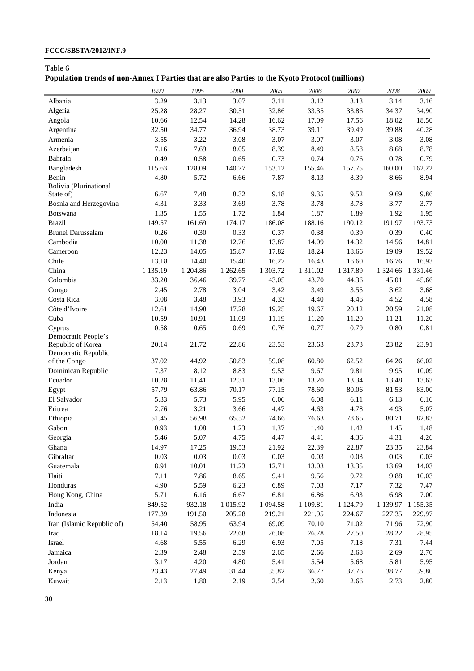# **FCCC/SBSTA/2012/INF.9**

Table 6

|  |  |  |  | Population trends of non-Annex I Parties that are also Parties to the Kyoto Protocol (millions) |  |  |  |
|--|--|--|--|-------------------------------------------------------------------------------------------------|--|--|--|
|  |  |  |  |                                                                                                 |  |  |  |

|                            | 1990          | 1995           | 2000          | 2005         | 2006         | 2007          | 2008          | 2009              |
|----------------------------|---------------|----------------|---------------|--------------|--------------|---------------|---------------|-------------------|
| Albania                    | 3.29          | 3.13           | 3.07          | 3.11         | 3.12         | 3.13          | 3.14          | 3.16              |
| Algeria                    | 25.28         | 28.27          | 30.51         | 32.86        | 33.35        | 33.86         | 34.37         | 34.90             |
| Angola                     | 10.66         | 12.54          | 14.28         | 16.62        | 17.09        | 17.56         | 18.02         | 18.50             |
| Argentina                  | 32.50         | 34.77          | 36.94         | 38.73        | 39.11        | 39.49         | 39.88         | 40.28             |
| Armenia                    | 3.55          | 3.22           | 3.08          | 3.07         | 3.07         | 3.07          | 3.08          | 3.08              |
| Azerbaijan                 | 7.16          | 7.69           | 8.05          | 8.39         | 8.49         | 8.58          | 8.68          | 8.78              |
| Bahrain                    | 0.49          | 0.58           | 0.65          | 0.73         | 0.74         | 0.76          | 0.78          | 0.79              |
| Bangladesh                 | 115.63        | 128.09         | 140.77        | 153.12       | 155.46       | 157.75        | 160.00        | 162.22            |
| Benin                      | 4.80          | 5.72           | 6.66          | 7.87         | 8.13         | 8.39          | 8.66          | 8.94              |
| Bolivia (Plurinational     |               |                |               |              |              |               |               |                   |
| State of)                  | 6.67          | 7.48           | 8.32          | 9.18         | 9.35         | 9.52          | 9.69          | 9.86              |
| Bosnia and Herzegovina     | 4.31          | 3.33           | 3.69          | 3.78         | 3.78         | 3.78          | 3.77          | 3.77              |
| Botswana                   | 1.35          | 1.55           | 1.72          | 1.84         | 1.87         | 1.89          | 1.92          | 1.95              |
| <b>Brazil</b>              | 149.57        | 161.69         | 174.17        | 186.08       | 188.16       | 190.12        | 191.97        | 193.73            |
| Brunei Darussalam          | 0.26          | 0.30           | 0.33          | 0.37         | 0.38         | 0.39          | 0.39          | 0.40              |
| Cambodia                   | 10.00         | 11.38          | 12.76         | 13.87        | 14.09        | 14.32         | 14.56         | 14.81             |
| Cameroon                   | 12.23         | 14.05          | 15.87         | 17.82        | 18.24        | 18.66         | 19.09         | 19.52             |
| Chile                      | 13.18         | 14.40          | 15.40         | 16.27        | 16.43        | 16.60         | 16.76         | 16.93             |
| China                      | 1 135.19      | 1 204.86       | 1 262.65      | 1 303.72     | 1 311.02     | 1 3 1 7 . 8 9 |               | 1 324.66 1 331.46 |
| Colombia                   | 33.20         | 36.46          | 39.77         | 43.05        | 43.70        | 44.36         | 45.01         | 45.66             |
| Congo                      | 2.45          | 2.78           | 3.04          | 3.42         | 3.49         | 3.55          | 3.62          | 3.68              |
| Costa Rica                 | 3.08          | 3.48           | 3.93          | 4.33         | 4.40         | 4.46          | 4.52          | 4.58              |
| Côte d'Ivoire              | 12.61         | 14.98          | 17.28         | 19.25        | 19.67        | 20.12         | 20.59         | 21.08             |
| Cuba                       | 10.59         | 10.91          | 11.09         | 11.19        | 11.20        | 11.20         | 11.21         | 11.20             |
| Cyprus                     | 0.58          | 0.65           | 0.69          | 0.76         | 0.77         | 0.79          | 0.80          | 0.81              |
| Democratic People's        |               |                |               |              |              |               |               |                   |
| Republic of Korea          | 20.14         | 21.72          | 22.86         | 23.53        | 23.63        | 23.73         | 23.82         | 23.91             |
| Democratic Republic        |               |                |               |              |              |               |               |                   |
| of the Congo               | 37.02         | 44.92<br>8.12  | 50.83         | 59.08        | 60.80        | 62.52         | 64.26         | 66.02             |
| Dominican Republic         | 7.37          |                | 8.83          | 9.53         | 9.67         | 9.81          | 9.95          | 10.09             |
| Ecuador                    | 10.28         | 11.41          | 12.31         | 13.06        | 13.20        | 13.34         | 13.48         | 13.63             |
| Egypt                      | 57.79<br>5.33 | 63.86<br>5.73  | 70.17         | 77.15        | 78.60        | 80.06         | 81.53         | 83.00             |
| El Salvador<br>Eritrea     | 2.76          | 3.21           | 5.95<br>3.66  | 6.06<br>4.47 | 6.08<br>4.63 | 6.11<br>4.78  | 6.13<br>4.93  | 6.16<br>5.07      |
|                            | 51.45         | 56.98          | 65.52         | 74.66        | 76.63        | 78.65         | 80.71         | 82.83             |
| Ethiopia<br>Gabon          | 0.93          | 1.08           | 1.23          | 1.37         | 1.40         | 1.42          | 1.45          | 1.48              |
|                            | 5.46          | 5.07           | 4.75          | 4.47         | 4.41         | 4.36          | 4.31          | 4.26              |
| Georgia<br>Ghana           | 14.97         | 17.25          |               | 21.92        | 22.39        | 22.87         | 23.35         |                   |
| Gibraltar                  | 0.03          | 0.03           | 19.53<br>0.03 |              | 0.03         |               | 0.03          | 23.84             |
|                            | 8.91          |                |               | 0.03         | 13.03        | 0.03<br>13.35 |               | $0.03\,$          |
| Guatemala<br>Haiti         | 7.11          | 10.01<br>7.86  | 11.23         | 12.71        | 9.56         | 9.72          | 13.69<br>9.88 | 14.03             |
| Honduras                   | 4.90          | 5.59           | 8.65          | 9.41         | 7.03         | 7.17          |               | 10.03             |
|                            | 5.71          |                | 6.23          | 6.89         | 6.86         |               | 7.32          | 7.47              |
| Hong Kong, China           |               | 6.16<br>932.18 | 6.67          | 6.81         |              | 6.93          | 6.98          | $7.00\,$          |
| India                      | 849.52        |                | 1 015.92      | 1 0 9 4.58   | 1 109.81     | 1 1 2 4 . 7 9 | 1 139.97      | 1 1 5 5 . 3 5     |
| Indonesia                  | 177.39        | 191.50         | 205.28        | 219.21       | 221.95       | 224.67        | 227.35        | 229.97            |
| Iran (Islamic Republic of) | 54.40         | 58.95          | 63.94         | 69.09        | 70.10        | 71.02         | 71.96         | 72.90             |
| Iraq                       | 18.14         | 19.56          | 22.68         | 26.08        | 26.78        | 27.50         | 28.22         | 28.95             |
| Israel                     | 4.68          | 5.55           | 6.29          | 6.93         | 7.05         | 7.18          | 7.31          | 7.44              |
| Jamaica                    | 2.39          | 2.48           | 2.59          | 2.65         | 2.66         | 2.68          | 2.69          | 2.70              |
| Jordan                     | 3.17          | 4.20           | 4.80          | 5.41         | 5.54         | 5.68          | 5.81          | 5.95              |
| Kenya                      | 23.43         | 27.49          | 31.44         | 35.82        | 36.77        | 37.76         | 38.77         | 39.80             |
| Kuwait                     | 2.13          | 1.80           | 2.19          | 2.54         | 2.60         | 2.66          | 2.73          | 2.80              |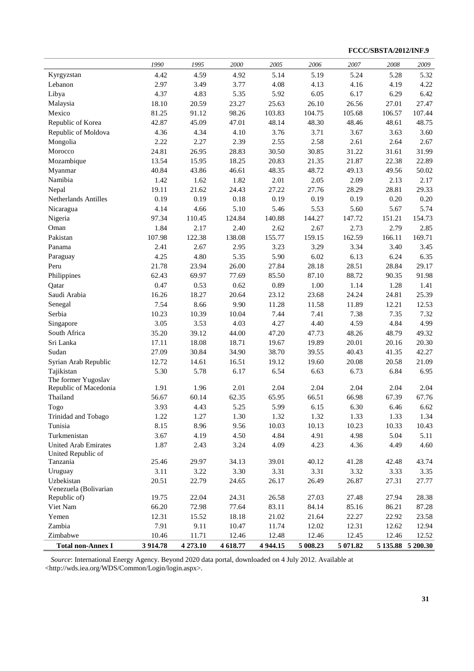**FCCC/SBSTA/2012/INF.9** 

|                             | 1990           | 1995           | 2000           | 2005           | 2006           | 2007           | 2008   | 2009              |
|-----------------------------|----------------|----------------|----------------|----------------|----------------|----------------|--------|-------------------|
| Kyrgyzstan                  | 4.42           | 4.59           | 4.92           | 5.14           | 5.19           | 5.24           | 5.28   | 5.32              |
| Lebanon                     | 2.97           | 3.49           | 3.77           | 4.08           | 4.13           | 4.16           | 4.19   | 4.22              |
| Libya                       | 4.37           | 4.83           | 5.35           | 5.92           | 6.05           | 6.17           | 6.29   | 6.42              |
| Malaysia                    | 18.10          | 20.59          | 23.27          | 25.63          | 26.10          | 26.56          | 27.01  | 27.47             |
| Mexico                      | 81.25          | 91.12          | 98.26          | 103.83         | 104.75         | 105.68         | 106.57 | 107.44            |
| Republic of Korea           | 42.87          | 45.09          | 47.01          | 48.14          | 48.30          | 48.46          | 48.61  | 48.75             |
| Republic of Moldova         | 4.36           | 4.34           | 4.10           | 3.76           | 3.71           | 3.67           | 3.63   | 3.60              |
| Mongolia                    | 2.22           | 2.27           | 2.39           | 2.55           | 2.58           | 2.61           | 2.64   | 2.67              |
| Morocco                     | 24.81          | 26.95          | 28.83          | 30.50          | 30.85          | 31.22          | 31.61  | 31.99             |
| Mozambique                  | 13.54          | 15.95          | 18.25          | 20.83          | 21.35          | 21.87          | 22.38  | 22.89             |
| Myanmar                     | 40.84          | 43.86          | 46.61          | 48.35          | 48.72          | 49.13          | 49.56  | 50.02             |
| Namibia                     | 1.42           | 1.62           | 1.82           | 2.01           | 2.05           | 2.09           | 2.13   | 2.17              |
| Nepal                       | 19.11          | 21.62          | 24.43          | 27.22          | 27.76          | 28.29          | 28.81  | 29.33             |
| Netherlands Antilles        | 0.19           | 0.19           | 0.18           | 0.19           | 0.19           | 0.19           | 0.20   | 0.20              |
| Nicaragua                   | 4.14           | 4.66           | 5.10           | 5.46           | 5.53           | 5.60           | 5.67   | 5.74              |
| Nigeria                     | 97.34          | 110.45         | 124.84         | 140.88         | 144.27         | 147.72         | 151.21 | 154.73            |
| Oman                        | 1.84           | 2.17           | 2.40           | 2.62           | 2.67           | 2.73           | 2.79   | 2.85              |
| Pakistan                    | 107.98         | 122.38         | 138.08         | 155.77         | 159.15         | 162.59         | 166.11 | 169.71            |
| Panama                      | 2.41           | 2.67           | 2.95           | 3.23           | 3.29           | 3.34           | 3.40   | 3.45              |
| Paraguay                    | 4.25           | 4.80           | 5.35           | 5.90           | 6.02           | 6.13           | 6.24   | 6.35              |
| Peru                        | 21.78          | 23.94          | 26.00          | 27.84          | 28.18          | 28.51          | 28.84  | 29.17             |
| Philippines                 | 62.43          | 69.97          | 77.69          | 85.50          | 87.10          | 88.72          | 90.35  | 91.98             |
| Qatar                       | 0.47           | 0.53           | 0.62           | 0.89           | 1.00           | 1.14           | 1.28   | 1.41              |
| Saudi Arabia                | 16.26          | 18.27          | 20.64          | 23.12          | 23.68          | 24.24          | 24.81  | 25.39             |
| Senegal                     | 7.54           | 8.66           | 9.90           | 11.28          | 11.58          | 11.89          | 12.21  | 12.53             |
| Serbia                      | 10.23          | 10.39          | 10.04          | 7.44           | 7.41           | 7.38           | 7.35   | 7.32              |
| Singapore                   | 3.05           | 3.53           | 4.03           | 4.27           | 4.40           | 4.59           | 4.84   | 4.99              |
| South Africa                | 35.20          | 39.12          | 44.00          | 47.20          | 47.73          | 48.26          | 48.79  | 49.32             |
| Sri Lanka                   | 17.11          | 18.08          | 18.71          | 19.67          | 19.89          | 20.01          | 20.16  | 20.30             |
| Sudan                       | 27.09          | 30.84          | 34.90          | 38.70          | 39.55          | 40.43          | 41.35  | 42.27             |
| Syrian Arab Republic        | 12.72          | 14.61          | 16.51          | 19.12          | 19.60          | 20.08          | 20.58  | 21.09             |
| Tajikistan                  | 5.30           | 5.78           | 6.17           | 6.54           | 6.63           | 6.73           | 6.84   | 6.95              |
| The former Yugoslav         |                |                |                |                |                |                |        |                   |
| Republic of Macedonia       | 1.91           | 1.96           | 2.01           | 2.04           | 2.04           | 2.04           | 2.04   | 2.04              |
| Thailand                    | 56.67          | 60.14          | 62.35          | 65.95          | 66.51          | 66.98          | 67.39  | 67.76             |
| Togo                        | 3.93           | 4.43           | 5.25           | 5.99           | 6.15           | 6.30           | 6.46   | 6.62              |
| Trinidad and Tobago         | 1.22           | 1.27           | 1.30           | 1.32           | 1.32           | 1.33           | 1.33   | 1.34              |
| Tunisia                     | 8.15           | 8.96           | 9.56           | 10.03          | 10.13          | 10.23          | 10.33  | 10.43             |
| Turkmenistan                | 3.67           | 4.19           | 4.50           | 4.84           | 4.91           | 4.98           | 5.04   | 5.11              |
| <b>United Arab Emirates</b> | 1.87           | 2.43           | 3.24           | 4.09           | 4.23           | 4.36           | 4.49   | 4.60              |
| United Republic of          |                |                |                |                |                |                |        |                   |
| Tanzania                    | 25.46          | 29.97          | 34.13          | 39.01          | 40.12          | 41.28          | 42.48  | 43.74             |
| Uruguay                     | 3.11           | 3.22           | 3.30           | 3.31           | 3.31           | 3.32           | 3.33   | 3.35              |
| Uzbekistan                  | 20.51          | 22.79          | 24.65          | 26.17          | 26.49          | 26.87          | 27.31  | 27.77             |
| Venezuela (Bolivarian       |                |                | 24.31          |                |                |                |        | 28.38             |
| Republic of)                | 19.75<br>66.20 | 22.04<br>72.98 | 77.64          | 26.58<br>83.11 | 27.03<br>84.14 | 27.48          | 27.94  |                   |
| Viet Nam                    | 12.31          | 15.52          |                |                | 21.64          | 85.16<br>22.27 | 86.21  | 87.28<br>23.58    |
| Yemen<br>Zambia             | 7.91           |                | 18.18<br>10.47 | 21.02          | 12.02          |                | 22.92  | 12.94             |
| Zimbabwe                    |                | 9.11           |                | 11.74          |                | 12.31          | 12.62  |                   |
|                             | 10.46          | 11.71          | 12.46          | 12.48          | 12.46          | 12.45          | 12.46  | 12.52             |
| <b>Total non-Annex I</b>    | 3 9 14.78      | 4 273.10       | 4 618.77       | 4 9 4 4.15     | 5 008.23       | 5 071.82       |        | 5 135.88 5 200.30 |

*Source*: International Energy Agency. Beyond 2020 data portal, downloaded on 4 July 2012. Available at <http://wds.iea.org/WDS/Common/Login/login.aspx>.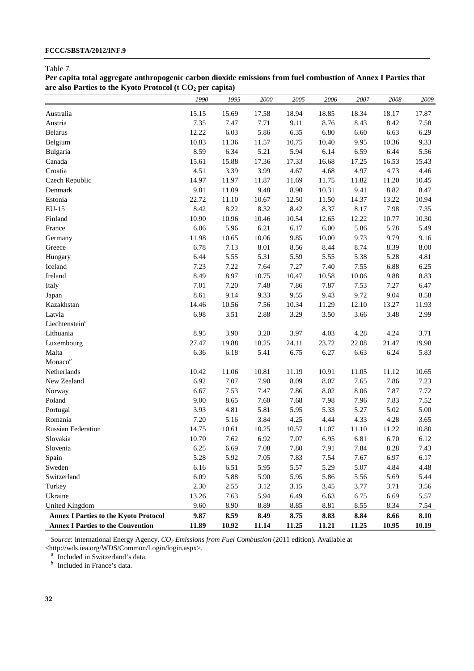| Per capita total aggregate anthropogenic carbon dioxide emissions from fuel combustion of Annex I Parties that |  |
|----------------------------------------------------------------------------------------------------------------|--|
| are also Parties to the Kyoto Protocol (t $CO2$ per capita)                                                    |  |

|                                              | 1990  | 1995  | 2000  | 2005  | 2006  | $2007\,$ | 2008  | 2009  |
|----------------------------------------------|-------|-------|-------|-------|-------|----------|-------|-------|
| Australia                                    | 15.15 | 15.69 | 17.58 | 18.94 | 18.85 | 18.34    | 18.17 | 17.87 |
| Austria                                      | 7.35  | 7.47  | 7.71  | 9.11  | 8.76  | 8.43     | 8.42  | 7.58  |
| <b>Belarus</b>                               | 12.22 | 6.03  | 5.86  | 6.35  | 6.80  | 6.60     | 6.63  | 6.29  |
| Belgium                                      | 10.83 | 11.36 | 11.57 | 10.75 | 10.40 | 9.95     | 10.36 | 9.33  |
| Bulgaria                                     | 8.59  | 6.34  | 5.21  | 5.94  | 6.14  | 6.59     | 6.44  | 5.56  |
| Canada                                       | 15.61 | 15.88 | 17.36 | 17.33 | 16.68 | 17.25    | 16.53 | 15.43 |
| Croatia                                      | 4.51  | 3.39  | 3.99  | 4.67  | 4.68  | 4.97     | 4.73  | 4.46  |
| Czech Republic                               | 14.97 | 11.97 | 11.87 | 11.69 | 11.75 | 11.82    | 11.20 | 10.45 |
| Denmark                                      | 9.81  | 11.09 | 9.48  | 8.90  | 10.31 | 9.41     | 8.82  | 8.47  |
| Estonia                                      | 22.72 | 11.10 | 10.67 | 12.50 | 11.50 | 14.37    | 13.22 | 10.94 |
| EU-15                                        | 8.42  | 8.22  | 8.32  | 8.42  | 8.37  | 8.17     | 7.98  | 7.35  |
| Finland                                      | 10.90 | 10.96 | 10.46 | 10.54 | 12.65 | 12.22    | 10.77 | 10.30 |
| France                                       | 6.06  | 5.96  | 6.21  | 6.17  | 6.00  | 5.86     | 5.78  | 5.49  |
| Germany                                      | 11.98 | 10.65 | 10.06 | 9.85  | 10.00 | 9.73     | 9.79  | 9.16  |
| Greece                                       | 6.78  | 7.13  | 8.01  | 8.56  | 8.44  | 8.74     | 8.39  | 8.00  |
| Hungary                                      | 6.44  | 5.55  | 5.31  | 5.59  | 5.55  | 5.38     | 5.28  | 4.81  |
| Iceland                                      | 7.23  | 7.22  | 7.64  | 7.27  | 7.40  | 7.55     | 6.88  | 6.25  |
| Ireland                                      | 8.49  | 8.97  | 10.75 | 10.47 | 10.58 | 10.06    | 9.88  | 8.83  |
| Italy                                        | 7.01  | 7.20  | 7.48  | 7.86  | 7.87  | 7.53     | 7.27  | 6.47  |
| Japan                                        | 8.61  | 9.14  | 9.33  | 9.55  | 9.43  | 9.72     | 9.04  | 8.58  |
| Kazakhstan                                   | 14.46 | 10.56 | 7.56  | 10.34 | 11.29 | 12.10    | 13.27 | 11.93 |
| Latvia                                       | 6.98  | 3.51  | 2.88  | 3.29  | 3.50  | 3.66     | 3.48  | 2.99  |
| Liechtenstein <sup>a</sup>                   |       |       |       |       |       |          |       |       |
| Lithuania                                    | 8.95  | 3.90  | 3.20  | 3.97  | 4.03  | 4.28     | 4.24  | 3.71  |
| Luxembourg                                   | 27.47 | 19.88 | 18.25 | 24.11 | 23.72 | 22.08    | 21.47 | 19.98 |
| Malta                                        | 6.36  | 6.18  | 5.41  | 6.75  | 6.27  | 6.63     | 6.24  | 5.83  |
| Monaco $b$                                   |       |       |       |       |       |          |       |       |
| Netherlands                                  | 10.42 | 11.06 | 10.81 | 11.19 | 10.91 | 11.05    | 11.12 | 10.65 |
| New Zealand                                  | 6.92  | 7.07  | 7.90  | 8.09  | 8.07  | 7.65     | 7.86  | 7.23  |
| Norway                                       | 6.67  | 7.53  | 7.47  | 7.86  | 8.02  | 8.06     | 7.87  | 7.72  |
| Poland                                       | 9.00  | 8.65  | 7.60  | 7.68  | 7.98  | 7.96     | 7.83  | 7.52  |
| Portugal                                     | 3.93  | 4.81  | 5.81  | 5.95  | 5.33  | 5.27     | 5.02  | 5.00  |
| Romania                                      | 7.20  | 5.16  | 3.84  | 4.25  | 4.44  | 4.33     | 4.28  | 3.65  |
| <b>Russian Federation</b>                    | 14.75 | 10.61 | 10.25 | 10.57 | 11.07 | 11.10    | 11.22 | 10.80 |
| Slovakia                                     | 10.70 | 7.62  | 6.92  | 7.07  | 6.95  | 6.81     | 6.70  | 6.12  |
| Slovenia                                     | 6.25  | 6.69  | 7.08  | 7.80  | 7.91  | 7.84     | 8.28  | 7.43  |
| Spain                                        | 5.28  | 5.92  | 7.05  | 7.83  | 7.54  | 7.67     | 6.97  | 6.17  |
| Sweden                                       | 6.16  | 6.51  | 5.95  | 5.57  | 5.29  | 5.07     | 4.84  | 4.48  |
| Switzerland                                  | 6.09  | 5.88  | 5.90  | 5.95  | 5.86  | 5.56     | 5.69  | 5.44  |
| Turkey                                       | 2.30  | 2.55  | 3.12  | 3.15  | 3.45  | 3.77     | 3.71  | 3.56  |
| Ukraine                                      | 13.26 | 7.63  | 5.94  | 6.49  | 6.63  | 6.75     | 6.69  | 5.57  |
| <b>United Kingdom</b>                        | 9.60  | 8.90  | 8.89  | 8.85  | 8.81  | 8.55     | 8.34  | 7.54  |
| <b>Annex I Parties to the Kyoto Protocol</b> | 9.87  | 8.59  | 8.49  | 8.75  | 8.83  | 8.84     | 8.66  | 8.10  |
| <b>Annex I Parties to the Convention</b>     | 11.89 | 10.92 | 11.14 | 11.25 | 11.21 | 11.25    | 10.95 | 10.19 |

*Source*: International Energy Agency. *CO2 Emissions from Fuel Combustion* (2011 edition). Available at <http://wds.iea.org/WDS/Common/Login/login.aspx>.

<sup>a</sup> Included in Switzerland's data.

*b* Included in France's data.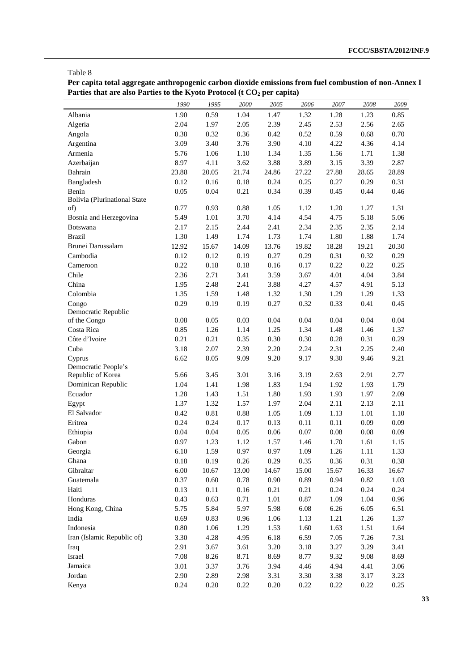**Per capita total aggregate anthropogenic carbon dioxide emissions from fuel combustion of non-Annex I**  Parties that are also Parties to the Kyoto Protocol (t CO<sub>2</sub> per capita)

|                                     | 1990         | 1995         | 2000         | 2005         | 2006         | 2007         | 2008         | 2009         |
|-------------------------------------|--------------|--------------|--------------|--------------|--------------|--------------|--------------|--------------|
| Albania                             | 1.90         | 0.59         | 1.04         | 1.47         | 1.32         | 1.28         | 1.23         | 0.85         |
| Algeria                             | 2.04         | 1.97         | 2.05         | 2.39         | 2.45         | 2.53         | 2.56         | 2.65         |
| Angola                              | 0.38         | 0.32         | 0.36         | 0.42         | 0.52         | 0.59         | 0.68         | 0.70         |
| Argentina                           | 3.09         | 3.40         | 3.76         | 3.90         | 4.10         | 4.22         | 4.36         | 4.14         |
| Armenia                             | 5.76         | 1.06         | 1.10         | 1.34         | 1.35         | 1.56         | 1.71         | 1.38         |
| Azerbaijan                          | 8.97         | 4.11         | 3.62         | 3.88         | 3.89         | 3.15         | 3.39         | 2.87         |
| Bahrain                             | 23.88        | 20.05        | 21.74        | 24.86        | 27.22        | 27.88        | 28.65        | 28.89        |
| Bangladesh                          | 0.12         | 0.16         | 0.18         | 0.24         | 0.25         | 0.27         | 0.29         | 0.31         |
| Benin                               | 0.05         | 0.04         | 0.21         | 0.34         | 0.39         | 0.45         | 0.44         | 0.46         |
| <b>Bolivia</b> (Plurinational State |              |              |              |              |              |              |              |              |
| of)                                 | 0.77         | 0.93         | 0.88         | 1.05         | 1.12         | 1.20         | 1.27         | 1.31         |
| Bosnia and Herzegovina              | 5.49         | 1.01         | 3.70         | 4.14         | 4.54         | 4.75         | 5.18         | 5.06         |
| Botswana                            | 2.17         | 2.15         | 2.44         | 2.41         | 2.34         | 2.35         | 2.35         | 2.14         |
| <b>Brazil</b>                       | 1.30         | 1.49         | 1.74         | 1.73         | 1.74         | 1.80         | 1.88         | 1.74         |
| Brunei Darussalam                   | 12.92        | 15.67        | 14.09        | 13.76        | 19.82        | 18.28        | 19.21        | 20.30        |
| Cambodia                            | 0.12         | 0.12         | 0.19         | 0.27         | 0.29         | 0.31         | 0.32         | 0.29         |
| Cameroon                            | 0.22         | 0.18         | 0.18         | 0.16         | 0.17         | 0.22         | 0.22         | 0.25         |
| Chile                               | 2.36         | 2.71         | 3.41         | 3.59         | 3.67         | 4.01         | 4.04         | 3.84         |
| China                               | 1.95         | 2.48         | 2.41         | 3.88         | 4.27         | 4.57         | 4.91         | 5.13         |
| Colombia                            | 1.35         | 1.59         | 1.48         | 1.32         | 1.30         | 1.29         | 1.29         | 1.33         |
| Congo                               | 0.29         | 0.19         | 0.19         | 0.27         | 0.32         | 0.33         | 0.41         | 0.45         |
| Democratic Republic                 |              |              |              |              |              |              |              |              |
| of the Congo                        | $0.08\,$     | 0.05         | 0.03         | 0.04         | 0.04         | $0.04\,$     | 0.04         | 0.04         |
| Costa Rica                          | 0.85         | 1.26         | 1.14         | 1.25         | 1.34         | 1.48         | 1.46         | 1.37         |
| Côte d'Ivoire                       | 0.21         | 0.21         | 0.35         | 0.30         | 0.30         | 0.28         | 0.31         | 0.29         |
| Cuba                                | 3.18         | 2.07         | 2.39         | 2.20         | 2.24         | 2.31         | 2.25         | 2.40         |
| Cyprus                              | 6.62         | 8.05         | 9.09         | 9.20         | 9.17         | 9.30         | 9.46         | 9.21         |
| Democratic People's                 |              |              | 3.01         | 3.16         | 3.19         |              |              |              |
| Republic of Korea                   | 5.66<br>1.04 | 3.45<br>1.41 |              |              |              | 2.63         | 2.91         | 2.77<br>1.79 |
| Dominican Republic<br>Ecuador       | 1.28         | 1.43         | 1.98<br>1.51 | 1.83<br>1.80 | 1.94<br>1.93 | 1.92<br>1.93 | 1.93<br>1.97 | 2.09         |
|                                     | 1.37         | 1.32         | 1.57         | 1.97         | 2.04         | 2.11         | 2.13         | 2.11         |
| Egypt<br>El Salvador                | 0.42         | $0.81\,$     |              | 1.05         | 1.09         |              | 1.01         | 1.10         |
| Eritrea                             | 0.24         | 0.24         | 0.88<br>0.17 | 0.13         | 0.11         | 1.13<br>0.11 | 0.09         | 0.09         |
| Ethiopia                            | 0.04         | 0.04         | 0.05         | $0.06\,$     | 0.07         | $0.08\,$     | $0.08\,$     | 0.09         |
| Gabon                               | 0.97         | 1.23         | 1.12         | 1.57         | 1.46         | 1.70         | 1.61         | 1.15         |
| Georgia                             | 6.10         | 1.59         | 0.97         | 0.97         | 1.09         | 1.26         | 1.11         | 1.33         |
| Ghana                               | $0.18\,$     | 0.19         | 0.26         | 0.29         | 0.35         | 0.36         | 0.31         | 0.38         |
| Gibraltar                           | $6.00\,$     | 10.67        | 13.00        | 14.67        | 15.00        | 15.67        | 16.33        | 16.67        |
| Guatemala                           | 0.37         | $0.60\,$     | 0.78         | 0.90         | 0.89         | 0.94         | 0.82         | 1.03         |
| Haiti                               | 0.13         | $0.11\,$     |              | 0.21         | 0.21         |              | 0.24         |              |
| Honduras                            | 0.43         | 0.63         | 0.16<br>0.71 | 1.01         | $0.87\,$     | 0.24<br>1.09 | 1.04         | 0.24<br>0.96 |
|                                     | 5.75         |              |              |              |              |              |              |              |
| Hong Kong, China                    |              | 5.84         | 5.97         | 5.98         | 6.08         | 6.26         | 6.05         | 6.51         |
| India<br>Indonesia                  | 0.69         | 0.83         | 0.96         | 1.06         | 1.13         | 1.21         | 1.26         | 1.37         |
|                                     | $0.80\,$     | 1.06         | 1.29         | 1.53         | 1.60         | 1.63         | 1.51         | 1.64         |
| Iran (Islamic Republic of)          | 3.30         | 4.28         | 4.95         | 6.18         | 6.59         | 7.05         | 7.26         | 7.31         |
| Iraq                                | 2.91         | 3.67         | 3.61         | 3.20         | 3.18         | 3.27         | 3.29         | 3.41         |
| Israel                              | 7.08         | 8.26         | 8.71         | 8.69         | 8.77         | 9.32         | 9.08         | 8.69         |
| Jamaica                             | 3.01         | 3.37         | 3.76         | 3.94         | 4.46         | 4.94         | 4.41         | 3.06         |
| Jordan                              | 2.90         | 2.89         | 2.98         | 3.31         | 3.30         | 3.38         | 3.17         | 3.23         |
| Kenya                               | 0.24         | $0.20\,$     | 0.22         | 0.20         | 0.22         | 0.22         | 0.22         | 0.25         |